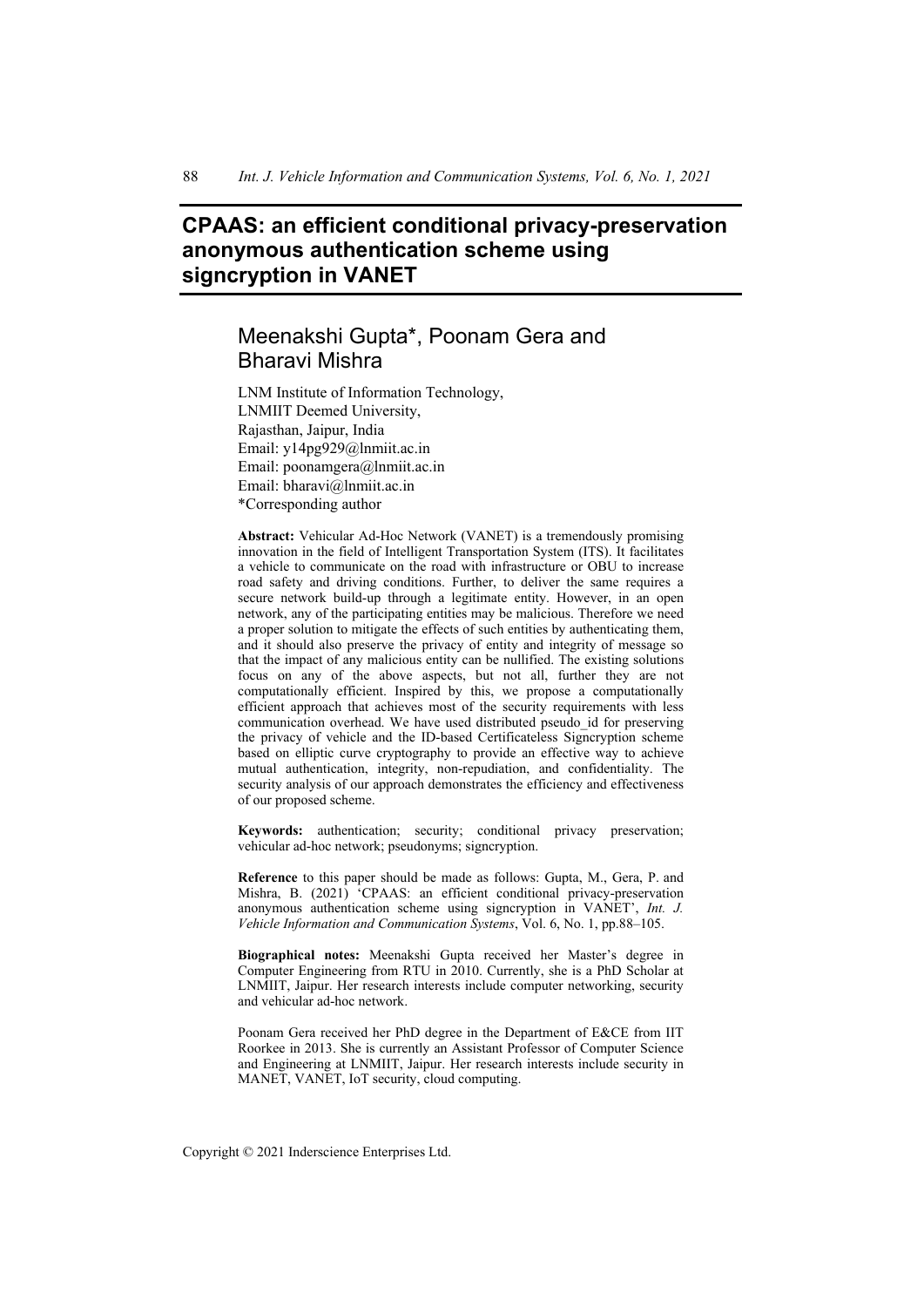# **CPAAS: an efficient conditional privacy-preservation anonymous authentication scheme using signcryption in VANET**

# Meenakshi Gupta\*, Poonam Gera and Bharavi Mishra

LNM Institute of Information Technology, LNMIIT Deemed University, Rajasthan, Jaipur, India Email: y14pg929@lnmiit.ac.in Email: poonamgera@lnmiit.ac.in Email: bharavi@lnmiit.ac.in \*Corresponding author

**Abstract:** Vehicular Ad-Hoc Network (VANET) is a tremendously promising innovation in the field of Intelligent Transportation System (ITS). It facilitates a vehicle to communicate on the road with infrastructure or OBU to increase road safety and driving conditions. Further, to deliver the same requires a secure network build-up through a legitimate entity. However, in an open network, any of the participating entities may be malicious. Therefore we need a proper solution to mitigate the effects of such entities by authenticating them, and it should also preserve the privacy of entity and integrity of message so that the impact of any malicious entity can be nullified. The existing solutions focus on any of the above aspects, but not all, further they are not computationally efficient. Inspired by this, we propose a computationally efficient approach that achieves most of the security requirements with less communication overhead. We have used distributed pseudo\_id for preserving the privacy of vehicle and the ID-based Certificateless Signcryption scheme based on elliptic curve cryptography to provide an effective way to achieve mutual authentication, integrity, non-repudiation, and confidentiality. The security analysis of our approach demonstrates the efficiency and effectiveness of our proposed scheme.

**Keywords:** authentication; security; conditional privacy preservation; vehicular ad-hoc network; pseudonyms; signcryption.

**Reference** to this paper should be made as follows: Gupta, M., Gera, P. and Mishra, B. (2021) 'CPAAS: an efficient conditional privacy-preservation anonymous authentication scheme using signcryption in VANET', *Int. J. Vehicle Information and Communication Systems*, Vol. 6, No. 1, pp.88–105.

**Biographical notes:** Meenakshi Gupta received her Master's degree in Computer Engineering from RTU in 2010. Currently, she is a PhD Scholar at LNMIIT, Jaipur. Her research interests include computer networking, security and vehicular ad-hoc network.

Poonam Gera received her PhD degree in the Department of E&CE from IIT Roorkee in 2013. She is currently an Assistant Professor of Computer Science and Engineering at LNMIIT, Jaipur. Her research interests include security in MANET, VANET, IoT security, cloud computing.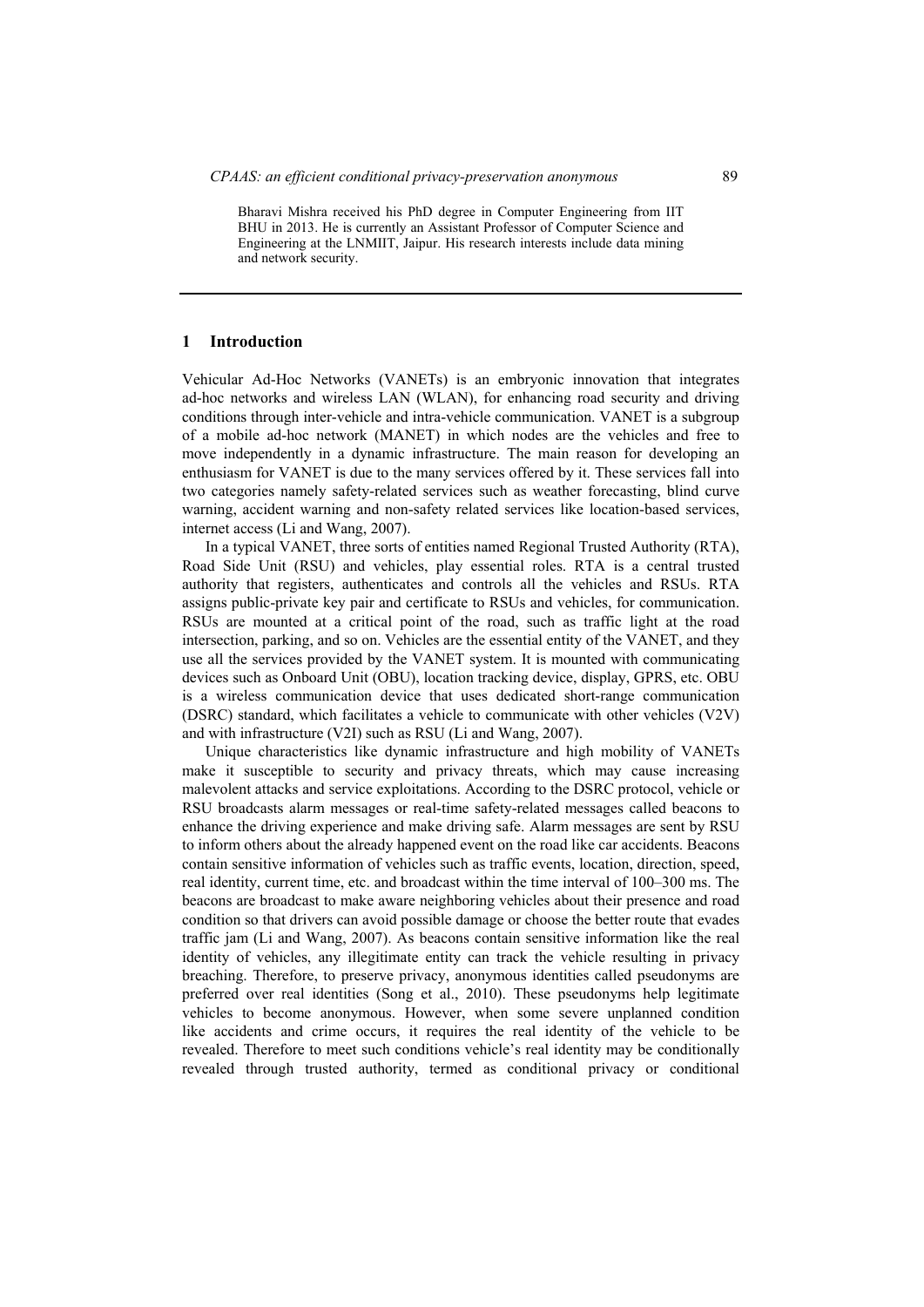Bharavi Mishra received his PhD degree in Computer Engineering from IIT BHU in 2013. He is currently an Assistant Professor of Computer Science and Engineering at the LNMIIT, Jaipur. His research interests include data mining and network security.

#### **1 Introduction**

Vehicular Ad-Hoc Networks (VANETs) is an embryonic innovation that integrates ad-hoc networks and wireless LAN (WLAN), for enhancing road security and driving conditions through inter-vehicle and intra-vehicle communication. VANET is a subgroup of a mobile ad-hoc network (MANET) in which nodes are the vehicles and free to move independently in a dynamic infrastructure. The main reason for developing an enthusiasm for VANET is due to the many services offered by it. These services fall into two categories namely safety-related services such as weather forecasting, blind curve warning, accident warning and non-safety related services like location-based services, internet access (Li and Wang, 2007).

In a typical VANET, three sorts of entities named Regional Trusted Authority (RTA), Road Side Unit (RSU) and vehicles, play essential roles. RTA is a central trusted authority that registers, authenticates and controls all the vehicles and RSUs. RTA assigns public-private key pair and certificate to RSUs and vehicles, for communication. RSUs are mounted at a critical point of the road, such as traffic light at the road intersection, parking, and so on. Vehicles are the essential entity of the VANET, and they use all the services provided by the VANET system. It is mounted with communicating devices such as Onboard Unit (OBU), location tracking device, display, GPRS, etc. OBU is a wireless communication device that uses dedicated short-range communication (DSRC) standard, which facilitates a vehicle to communicate with other vehicles (V2V) and with infrastructure (V2I) such as RSU (Li and Wang, 2007).

Unique characteristics like dynamic infrastructure and high mobility of VANETs make it susceptible to security and privacy threats, which may cause increasing malevolent attacks and service exploitations. According to the DSRC protocol, vehicle or RSU broadcasts alarm messages or real-time safety-related messages called beacons to enhance the driving experience and make driving safe. Alarm messages are sent by RSU to inform others about the already happened event on the road like car accidents. Beacons contain sensitive information of vehicles such as traffic events, location, direction, speed, real identity, current time, etc. and broadcast within the time interval of 100–300 ms. The beacons are broadcast to make aware neighboring vehicles about their presence and road condition so that drivers can avoid possible damage or choose the better route that evades traffic jam (Li and Wang, 2007). As beacons contain sensitive information like the real identity of vehicles, any illegitimate entity can track the vehicle resulting in privacy breaching. Therefore, to preserve privacy, anonymous identities called pseudonyms are preferred over real identities (Song et al., 2010). These pseudonyms help legitimate vehicles to become anonymous. However, when some severe unplanned condition like accidents and crime occurs, it requires the real identity of the vehicle to be revealed. Therefore to meet such conditions vehicle's real identity may be conditionally revealed through trusted authority, termed as conditional privacy or conditional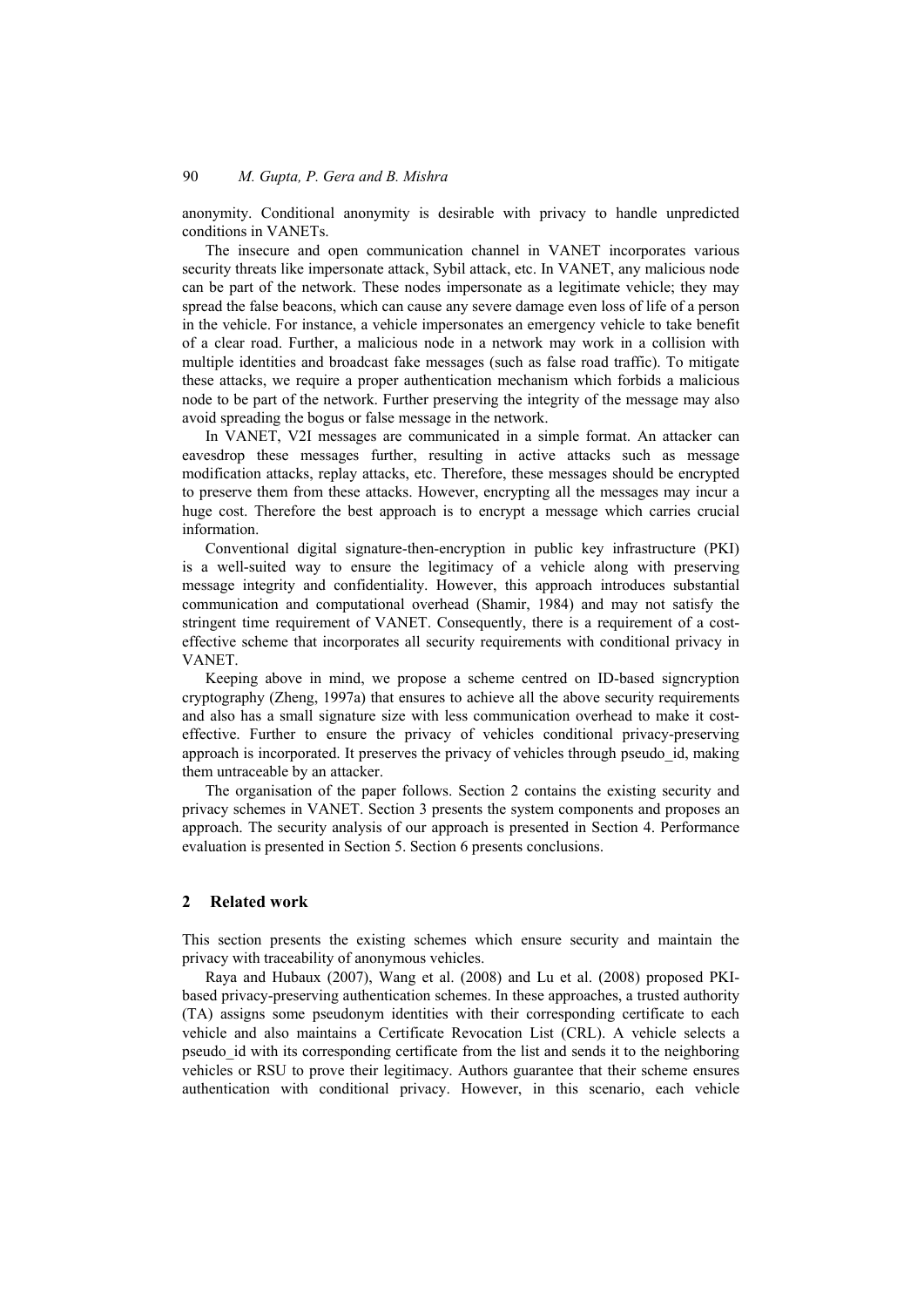anonymity. Conditional anonymity is desirable with privacy to handle unpredicted conditions in VANETs.

The insecure and open communication channel in VANET incorporates various security threats like impersonate attack, Sybil attack, etc. In VANET, any malicious node can be part of the network. These nodes impersonate as a legitimate vehicle; they may spread the false beacons, which can cause any severe damage even loss of life of a person in the vehicle. For instance, a vehicle impersonates an emergency vehicle to take benefit of a clear road. Further, a malicious node in a network may work in a collision with multiple identities and broadcast fake messages (such as false road traffic). To mitigate these attacks, we require a proper authentication mechanism which forbids a malicious node to be part of the network. Further preserving the integrity of the message may also avoid spreading the bogus or false message in the network.

In VANET, V2I messages are communicated in a simple format. An attacker can eavesdrop these messages further, resulting in active attacks such as message modification attacks, replay attacks, etc. Therefore, these messages should be encrypted to preserve them from these attacks. However, encrypting all the messages may incur a huge cost. Therefore the best approach is to encrypt a message which carries crucial information.

Conventional digital signature-then-encryption in public key infrastructure (PKI) is a well-suited way to ensure the legitimacy of a vehicle along with preserving message integrity and confidentiality. However, this approach introduces substantial communication and computational overhead (Shamir, 1984) and may not satisfy the stringent time requirement of VANET. Consequently, there is a requirement of a costeffective scheme that incorporates all security requirements with conditional privacy in VANET.

Keeping above in mind, we propose a scheme centred on ID-based signcryption cryptography (Zheng, 1997a) that ensures to achieve all the above security requirements and also has a small signature size with less communication overhead to make it costeffective. Further to ensure the privacy of vehicles conditional privacy-preserving approach is incorporated. It preserves the privacy of vehicles through pseudo\_id, making them untraceable by an attacker.

The organisation of the paper follows. Section 2 contains the existing security and privacy schemes in VANET. Section 3 presents the system components and proposes an approach. The security analysis of our approach is presented in Section 4. Performance evaluation is presented in Section 5. Section 6 presents conclusions.

### **2 Related work**

This section presents the existing schemes which ensure security and maintain the privacy with traceability of anonymous vehicles.

Raya and Hubaux (2007), Wang et al. (2008) and Lu et al. (2008) proposed PKIbased privacy-preserving authentication schemes. In these approaches, a trusted authority (TA) assigns some pseudonym identities with their corresponding certificate to each vehicle and also maintains a Certificate Revocation List (CRL). A vehicle selects a pseudo\_id with its corresponding certificate from the list and sends it to the neighboring vehicles or RSU to prove their legitimacy. Authors guarantee that their scheme ensures authentication with conditional privacy. However, in this scenario, each vehicle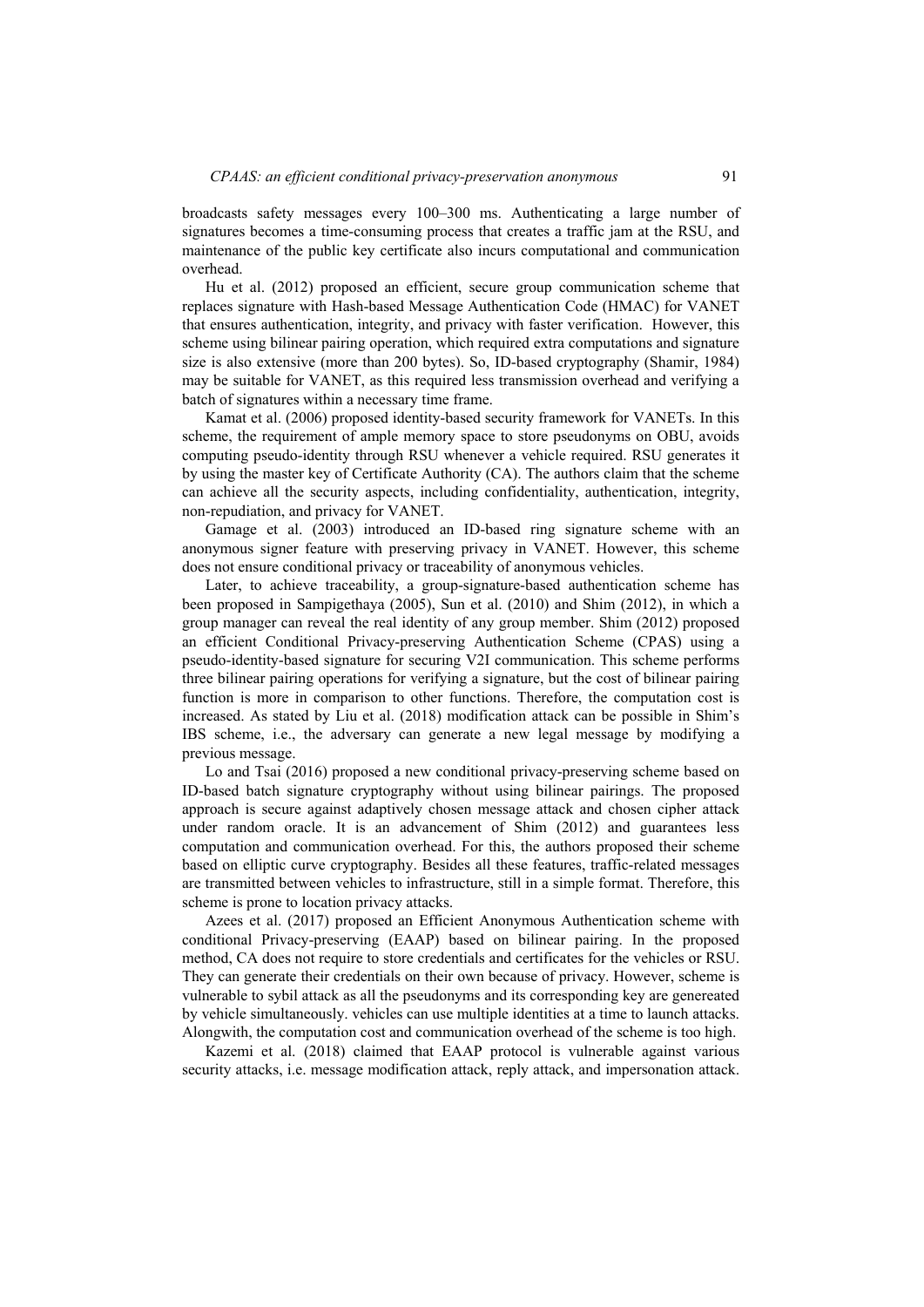broadcasts safety messages every 100–300 ms. Authenticating a large number of signatures becomes a time-consuming process that creates a traffic jam at the RSU, and maintenance of the public key certificate also incurs computational and communication overhead.

Hu et al. (2012) proposed an efficient, secure group communication scheme that replaces signature with Hash-based Message Authentication Code (HMAC) for VANET that ensures authentication, integrity, and privacy with faster verification. However, this scheme using bilinear pairing operation, which required extra computations and signature size is also extensive (more than 200 bytes). So, ID-based cryptography (Shamir, 1984) may be suitable for VANET, as this required less transmission overhead and verifying a batch of signatures within a necessary time frame.

Kamat et al. (2006) proposed identity-based security framework for VANETs. In this scheme, the requirement of ample memory space to store pseudonyms on OBU, avoids computing pseudo-identity through RSU whenever a vehicle required. RSU generates it by using the master key of Certificate Authority (CA). The authors claim that the scheme can achieve all the security aspects, including confidentiality, authentication, integrity, non-repudiation, and privacy for VANET.

Gamage et al. (2003) introduced an ID-based ring signature scheme with an anonymous signer feature with preserving privacy in VANET. However, this scheme does not ensure conditional privacy or traceability of anonymous vehicles.

Later, to achieve traceability, a group-signature-based authentication scheme has been proposed in Sampigethaya (2005), Sun et al. (2010) and Shim (2012), in which a group manager can reveal the real identity of any group member. Shim (2012) proposed an efficient Conditional Privacy-preserving Authentication Scheme (CPAS) using a pseudo-identity-based signature for securing V2I communication. This scheme performs three bilinear pairing operations for verifying a signature, but the cost of bilinear pairing function is more in comparison to other functions. Therefore, the computation cost is increased. As stated by Liu et al. (2018) modification attack can be possible in Shim's IBS scheme, i.e., the adversary can generate a new legal message by modifying a previous message.

Lo and Tsai (2016) proposed a new conditional privacy-preserving scheme based on ID-based batch signature cryptography without using bilinear pairings. The proposed approach is secure against adaptively chosen message attack and chosen cipher attack under random oracle. It is an advancement of Shim (2012) and guarantees less computation and communication overhead. For this, the authors proposed their scheme based on elliptic curve cryptography. Besides all these features, traffic-related messages are transmitted between vehicles to infrastructure, still in a simple format. Therefore, this scheme is prone to location privacy attacks.

Azees et al. (2017) proposed an Efficient Anonymous Authentication scheme with conditional Privacy-preserving (EAAP) based on bilinear pairing. In the proposed method, CA does not require to store credentials and certificates for the vehicles or RSU. They can generate their credentials on their own because of privacy. However, scheme is vulnerable to sybil attack as all the pseudonyms and its corresponding key are genereated by vehicle simultaneously. vehicles can use multiple identities at a time to launch attacks. Alongwith, the computation cost and communication overhead of the scheme is too high.

Kazemi et al. (2018) claimed that EAAP protocol is vulnerable against various security attacks, i.e. message modification attack, reply attack, and impersonation attack.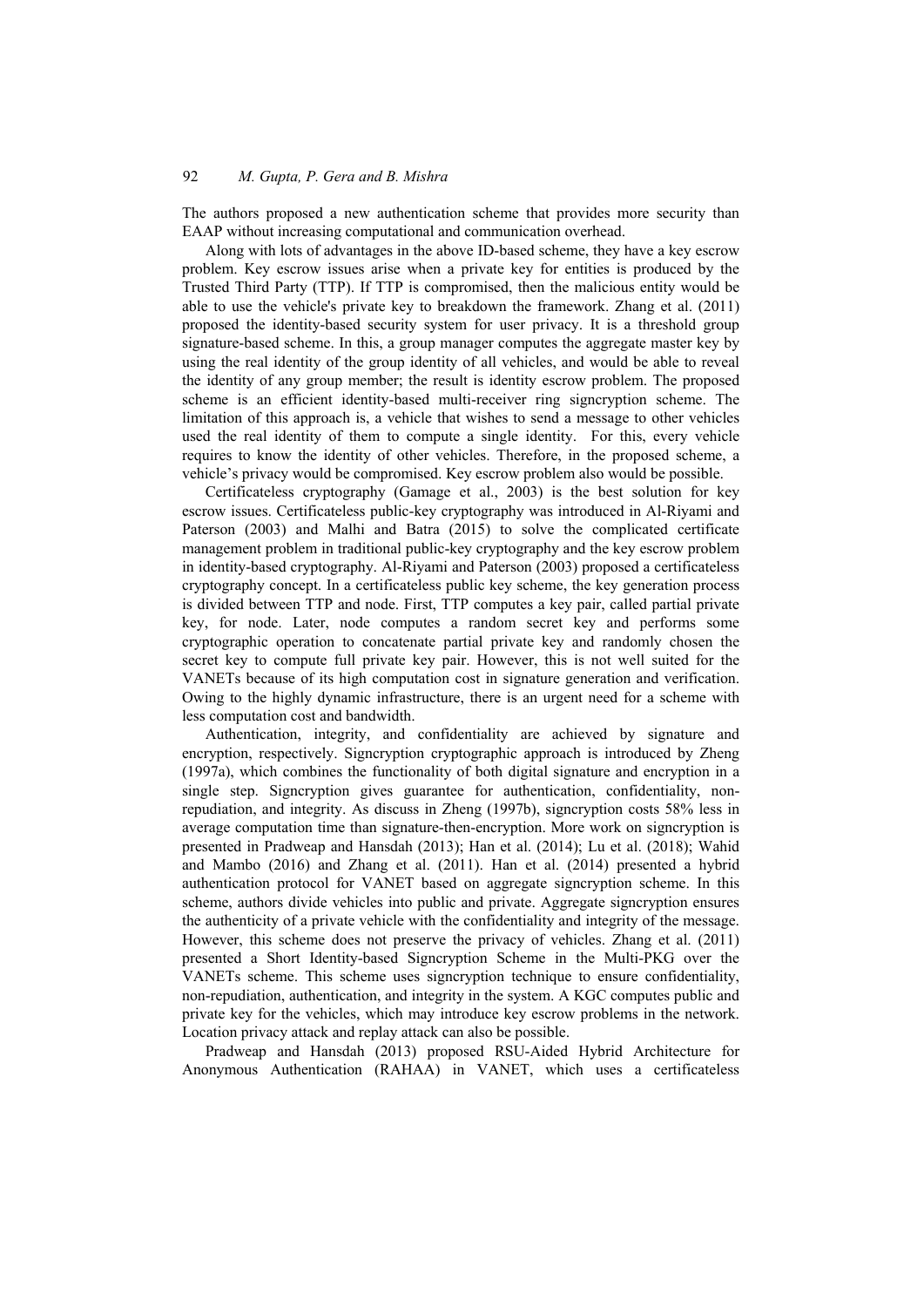The authors proposed a new authentication scheme that provides more security than EAAP without increasing computational and communication overhead.

Along with lots of advantages in the above ID-based scheme, they have a key escrow problem. Key escrow issues arise when a private key for entities is produced by the Trusted Third Party (TTP). If TTP is compromised, then the malicious entity would be able to use the vehicle's private key to breakdown the framework. Zhang et al. (2011) proposed the identity-based security system for user privacy. It is a threshold group signature-based scheme. In this, a group manager computes the aggregate master key by using the real identity of the group identity of all vehicles, and would be able to reveal the identity of any group member; the result is identity escrow problem. The proposed scheme is an efficient identity-based multi-receiver ring signcryption scheme. The limitation of this approach is, a vehicle that wishes to send a message to other vehicles used the real identity of them to compute a single identity. For this, every vehicle requires to know the identity of other vehicles. Therefore, in the proposed scheme, a vehicle's privacy would be compromised. Key escrow problem also would be possible.

Certificateless cryptography (Gamage et al., 2003) is the best solution for key escrow issues. Certificateless public-key cryptography was introduced in Al-Riyami and Paterson (2003) and Malhi and Batra (2015) to solve the complicated certificate management problem in traditional public-key cryptography and the key escrow problem in identity-based cryptography. Al-Riyami and Paterson (2003) proposed a certificateless cryptography concept. In a certificateless public key scheme, the key generation process is divided between TTP and node. First, TTP computes a key pair, called partial private key, for node. Later, node computes a random secret key and performs some cryptographic operation to concatenate partial private key and randomly chosen the secret key to compute full private key pair. However, this is not well suited for the VANETs because of its high computation cost in signature generation and verification. Owing to the highly dynamic infrastructure, there is an urgent need for a scheme with less computation cost and bandwidth.

Authentication, integrity, and confidentiality are achieved by signature and encryption, respectively. Signcryption cryptographic approach is introduced by Zheng (1997a), which combines the functionality of both digital signature and encryption in a single step. Signcryption gives guarantee for authentication, confidentiality, nonrepudiation, and integrity. As discuss in Zheng (1997b), signcryption costs 58% less in average computation time than signature-then-encryption. More work on signcryption is presented in Pradweap and Hansdah (2013); Han et al. (2014); Lu et al. (2018); Wahid and Mambo (2016) and Zhang et al. (2011). Han et al. (2014) presented a hybrid authentication protocol for VANET based on aggregate signcryption scheme. In this scheme, authors divide vehicles into public and private. Aggregate signcryption ensures the authenticity of a private vehicle with the confidentiality and integrity of the message. However, this scheme does not preserve the privacy of vehicles. Zhang et al. (2011) presented a Short Identity-based Signcryption Scheme in the Multi-PKG over the VANETs scheme. This scheme uses signcryption technique to ensure confidentiality, non-repudiation, authentication, and integrity in the system. A KGC computes public and private key for the vehicles, which may introduce key escrow problems in the network. Location privacy attack and replay attack can also be possible.

Pradweap and Hansdah (2013) proposed RSU-Aided Hybrid Architecture for Anonymous Authentication (RAHAA) in VANET, which uses a certificateless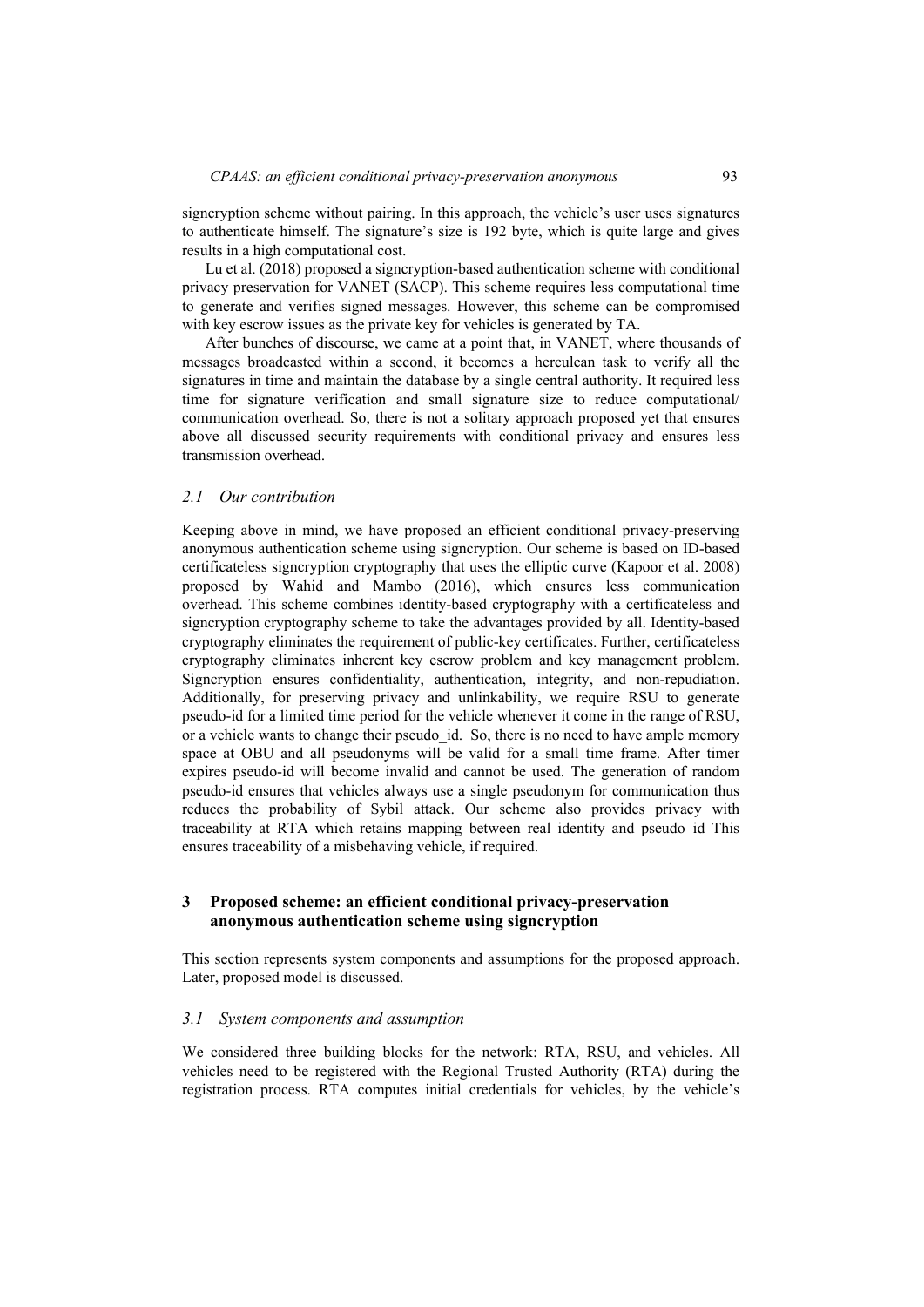signcryption scheme without pairing. In this approach, the vehicle's user uses signatures to authenticate himself. The signature's size is 192 byte, which is quite large and gives results in a high computational cost.

Lu et al. (2018) proposed a signeryption-based authentication scheme with conditional privacy preservation for VANET (SACP). This scheme requires less computational time to generate and verifies signed messages. However, this scheme can be compromised with key escrow issues as the private key for vehicles is generated by TA.

After bunches of discourse, we came at a point that, in VANET, where thousands of messages broadcasted within a second, it becomes a herculean task to verify all the signatures in time and maintain the database by a single central authority. It required less time for signature verification and small signature size to reduce computational/ communication overhead. So, there is not a solitary approach proposed yet that ensures above all discussed security requirements with conditional privacy and ensures less transmission overhead.

#### *2.1 Our contribution*

Keeping above in mind, we have proposed an efficient conditional privacy-preserving anonymous authentication scheme using signcryption. Our scheme is based on ID-based certificateless signcryption cryptography that uses the elliptic curve (Kapoor et al. 2008) proposed by Wahid and Mambo (2016), which ensures less communication overhead. This scheme combines identity-based cryptography with a certificateless and signcryption cryptography scheme to take the advantages provided by all. Identity-based cryptography eliminates the requirement of public-key certificates. Further, certificateless cryptography eliminates inherent key escrow problem and key management problem. Signcryption ensures confidentiality, authentication, integrity, and non-repudiation. Additionally, for preserving privacy and unlinkability, we require RSU to generate pseudo-id for a limited time period for the vehicle whenever it come in the range of RSU, or a vehicle wants to change their pseudo id. So, there is no need to have ample memory space at OBU and all pseudonyms will be valid for a small time frame. After timer expires pseudo-id will become invalid and cannot be used. The generation of random pseudo-id ensures that vehicles always use a single pseudonym for communication thus reduces the probability of Sybil attack. Our scheme also provides privacy with traceability at RTA which retains mapping between real identity and pseudo\_id This ensures traceability of a misbehaving vehicle, if required.

### **3 Proposed scheme: an efficient conditional privacy-preservation anonymous authentication scheme using signcryption**

This section represents system components and assumptions for the proposed approach. Later, proposed model is discussed.

#### *3.1 System components and assumption*

We considered three building blocks for the network: RTA, RSU, and vehicles. All vehicles need to be registered with the Regional Trusted Authority (RTA) during the registration process. RTA computes initial credentials for vehicles, by the vehicle's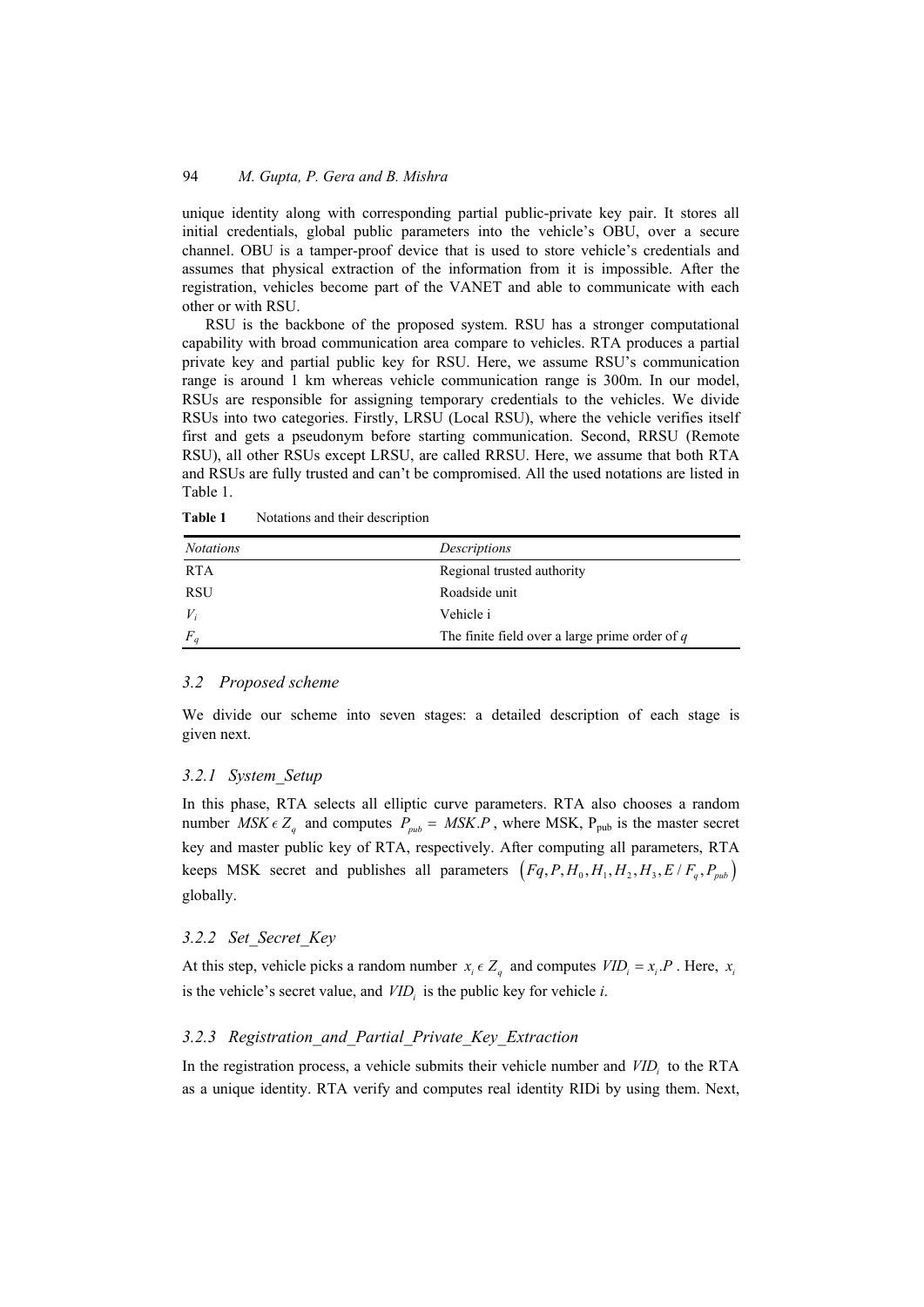unique identity along with corresponding partial public-private key pair. It stores all initial credentials, global public parameters into the vehicle's OBU, over a secure channel. OBU is a tamper-proof device that is used to store vehicle's credentials and assumes that physical extraction of the information from it is impossible. After the registration, vehicles become part of the VANET and able to communicate with each other or with RSU.

RSU is the backbone of the proposed system. RSU has a stronger computational capability with broad communication area compare to vehicles. RTA produces a partial private key and partial public key for RSU. Here, we assume RSU's communication range is around 1 km whereas vehicle communication range is 300m. In our model, RSUs are responsible for assigning temporary credentials to the vehicles. We divide RSUs into two categories. Firstly, LRSU (Local RSU), where the vehicle verifies itself first and gets a pseudonym before starting communication. Second, RRSU (Remote RSU), all other RSUs except LRSU, are called RRSU. Here, we assume that both RTA and RSUs are fully trusted and can't be compromised. All the used notations are listed in Table 1.

| <b>Notations</b> | Descriptions                                     |
|------------------|--------------------------------------------------|
| <b>RTA</b>       | Regional trusted authority                       |
| <b>RSU</b>       | Roadside unit                                    |
| $V_i$            | Vehicle i                                        |
| $F_q$            | The finite field over a large prime order of $q$ |

Table 1 Notations and their description

# *3.2 Proposed scheme*

We divide our scheme into seven stages: a detailed description of each stage is given next.

# *3.2.1 System\_Setup*

In this phase, RTA selects all elliptic curve parameters. RTA also chooses a random number  $MSK \in Z_q$  and computes  $P_{pub} = MSK.P$ , where MSK,  $P_{pub}$  is the master secret key and master public key of RTA, respectively. After computing all parameters, RTA keeps MSK secret and publishes all parameters  $(Fq, P, H_0, H_1, H_2, H_3, E/F_a, P_{sub})$ globally.

# *3.2.2 Set\_Secret\_Key*

At this step, vehicle picks a random number  $x_i \in Z_q$  and computes  $VID_i = x_i.P$ . Here,  $x_i$ is the vehicle's secret value, and  $VID<sub>i</sub>$  is the public key for vehicle *i*.

# *3.2.3 Registration\_and\_Partial\_Private\_Key\_Extraction*

In the registration process, a vehicle submits their vehicle number and  $VID<sub>i</sub>$  to the RTA as a unique identity. RTA verify and computes real identity RIDi by using them. Next,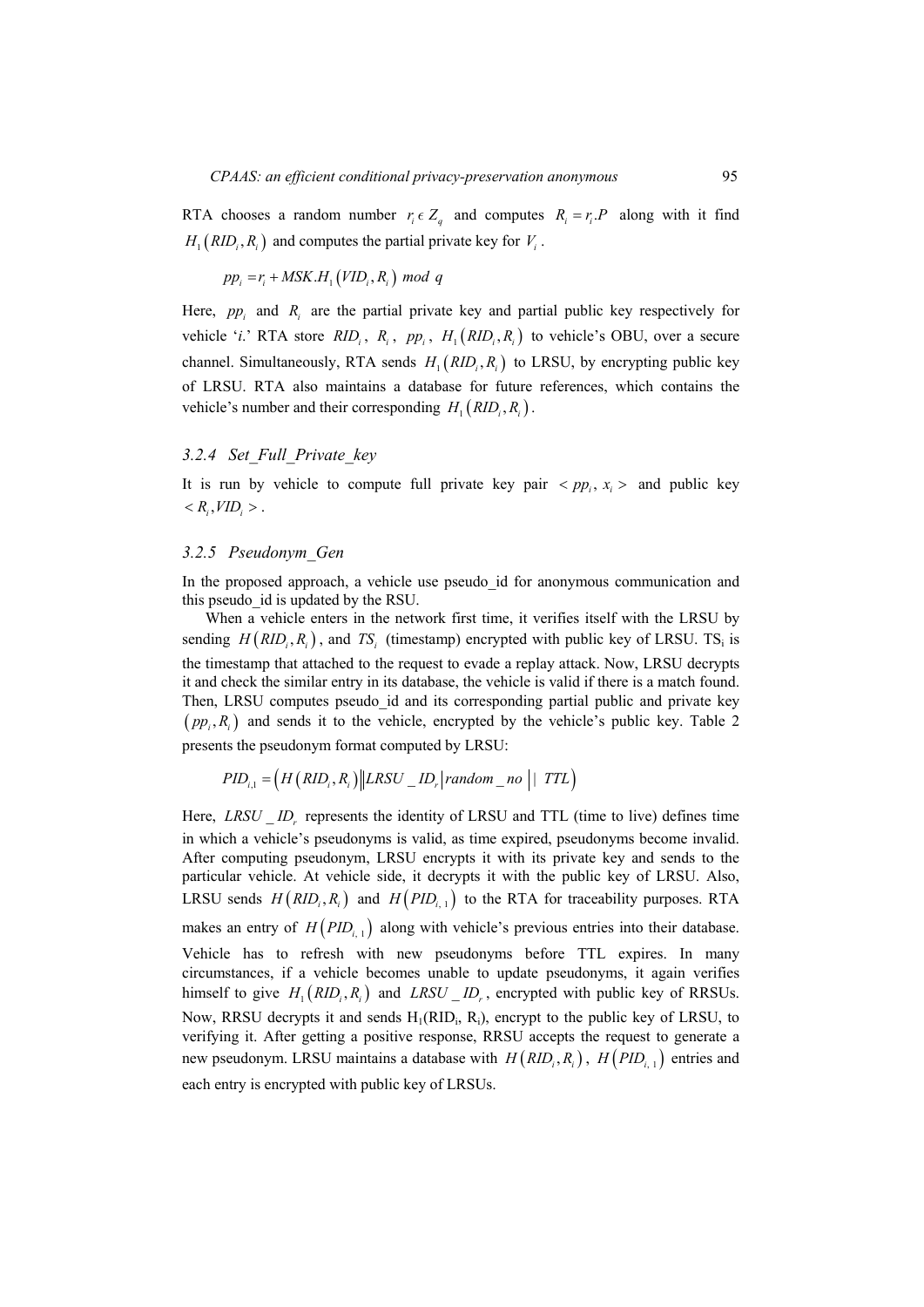RTA chooses a random number  $r_i \in Z_a$  and computes  $R_i = r_i \cdot P$  along with it find  $H_1(RID_i, R_i)$  and computes the partial private key for  $V_i$ .

$$
pp_i = r_i + MSK.H_1(VID_i, R_i) \mod q
$$

Here,  $pp_i$  and  $R_i$  are the partial private key and partial public key respectively for vehicle '*i*.' RTA store  $RID_i$ ,  $R_i$ ,  $pp_i$ ,  $H_1(RID_i, R_i)$  to vehicle's OBU, over a secure channel. Simultaneously, RTA sends  $H_1(RID_i, R_i)$  to LRSU, by encrypting public key of LRSU. RTA also maintains a database for future references, which contains the vehicle's number and their corresponding  $H_1(RID_i, R_i)$ .

### *3.2.4 Set\_Full\_Private\_key*

It is run by vehicle to compute full private key pair  $\langle pp_i, x_i \rangle$  and public key  $\langle R_i, VID_i \rangle$ .

#### *3.2.5 Pseudonym\_Gen*

In the proposed approach, a vehicle use pseudo id for anonymous communication and this pseudo\_id is updated by the RSU.

When a vehicle enters in the network first time, it verifies itself with the LRSU by sending  $H(RID_i, R_i)$ , and *TS<sub>i</sub>* (timestamp) encrypted with public key of LRSU. TS<sub>i</sub> is the timestamp that attached to the request to evade a replay attack. Now, LRSU decrypts it and check the similar entry in its database, the vehicle is valid if there is a match found. Then, LRSU computes pseudo id and its corresponding partial public and private key  $(pp_i, R_i)$  and sends it to the vehicle, encrypted by the vehicle's public key. Table 2 presents the pseudonym format computed by LRSU:

$$
PID_{i,1} = \left(H\left(RID_i, R_i\right)\middle\|LRSU \_ID_r\middle\| random \_no \mid 1\,TTL\right)
$$

Here, *LRSU ID<sub>r</sub>* represents the identity of LRSU and TTL (time to live) defines time in which a vehicle's pseudonyms is valid, as time expired, pseudonyms become invalid. After computing pseudonym, LRSU encrypts it with its private key and sends to the particular vehicle. At vehicle side, it decrypts it with the public key of LRSU. Also, LRSU sends  $H(RID_i, R_i)$  and  $H(PID_{i,1})$  to the RTA for traceability purposes. RTA makes an entry of  $H(PID_{i-1})$  along with vehicle's previous entries into their database. Vehicle has to refresh with new pseudonyms before TTL expires. In many circumstances, if a vehicle becomes unable to update pseudonyms, it again verifies himself to give  $H_1(RID_i, R_i)$  and  $LRSU \_ID_r$ , encrypted with public key of RRSUs. Now, RRSU decrypts it and sends  $H_1(RID_i, R_i)$ , encrypt to the public key of LRSU, to verifying it. After getting a positive response, RRSU accepts the request to generate a new pseudonym. LRSU maintains a database with  $H(RID_i, R_i)$ ,  $H(PID_{i-1})$  entries and each entry is encrypted with public key of LRSUs.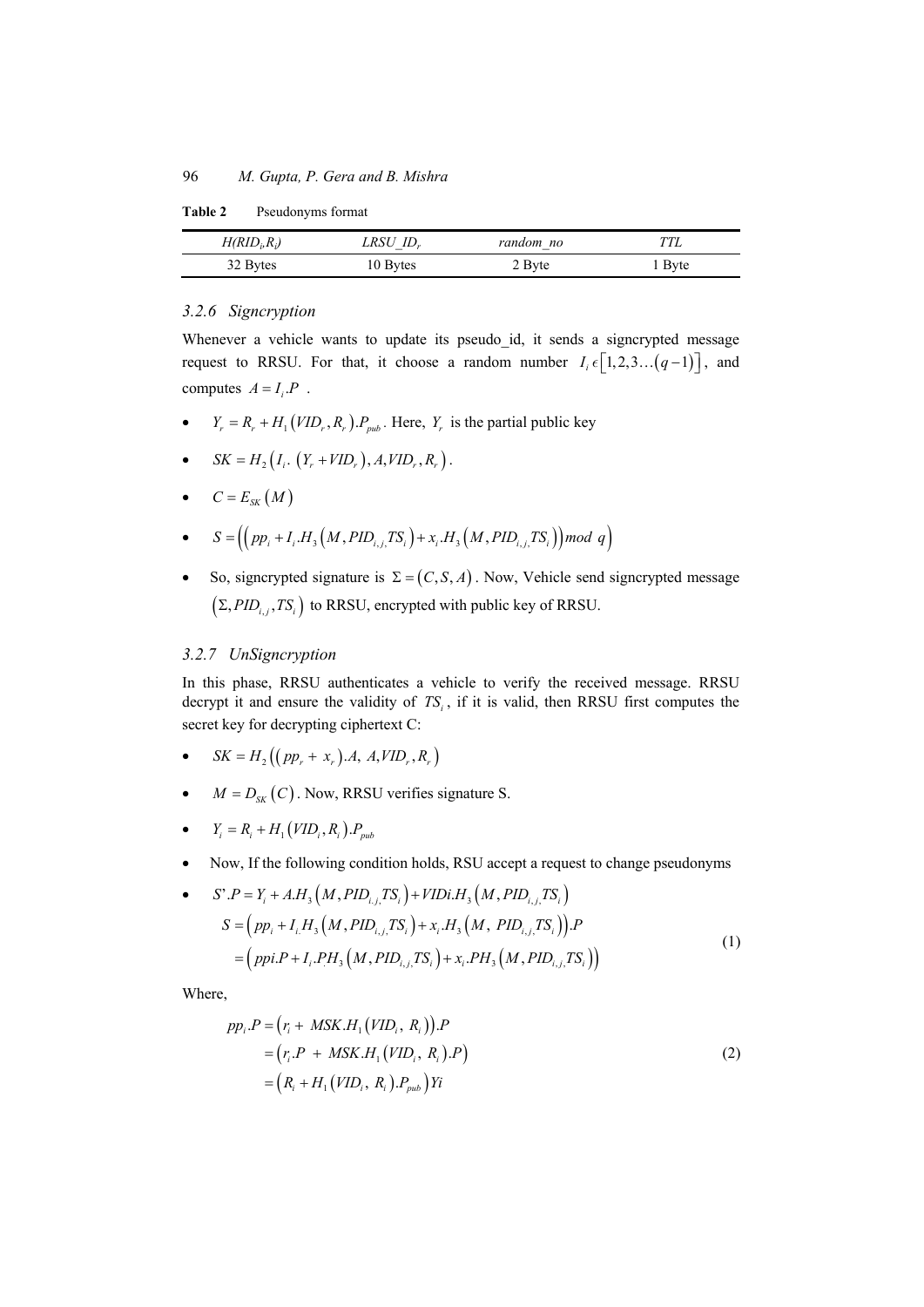**Table 2** Pseudonyms format

| $H(RID_i, R_i)$ | $LRSU$ ID <sub>r</sub> | random no | TTL    |
|-----------------|------------------------|-----------|--------|
| 32 Bytes        | 10 Bytes               | 2 Byte    | 1 Byte |

# *3.2.6 Signcryption*

Whenever a vehicle wants to update its pseudo\_id, it sends a signcrypted message request to RRSU. For that, it choose a random number  $I_i \in [1, 2, 3, \ldots (q-1)]$ , and computes  $A = I_i P$ .

- $\bullet$   $Y_r = R_r + H_1(VID_r, R_r) P_{mb}$ . Here,  $Y_r$  is the partial public key
- $SK = H_2(I_i. (Y_r + VID_r), A, VID_r, R_r)$ .
- $C = E_{\text{sw}}(M)$

• 
$$
S = \left( \left( pp_i + I_i.H_3\left(M, PID_{i,j,}TS_i\right) + x_i.H_3\left(M, PID_{i,j,}TS_i\right) \right) \mod q \right)
$$

So, signcrypted signature is  $\Sigma = (C, S, A)$ . Now, Vehicle send signcrypted message  $(\Sigma, PID_{i,i}, TS_{i})$  to RRSU, encrypted with public key of RRSU.

### *3.2.7 UnSigncryption*

In this phase, RRSU authenticates a vehicle to verify the received message. RRSU decrypt it and ensure the validity of  $TS_i$ , if it is valid, then RRSU first computes the secret key for decrypting ciphertext C:

- $\bullet$   $SK = H_2((pp_+ + x_*)A, A, VID_*, R_*)$
- $M = D_{SK}(C)$ . Now, RRSU verifies signature S.
- $\bullet$   $Y_i = R_i + H_1(VID_i, R_i) . P_{pub}$
- Now, If the following condition holds, RSU accept a request to change pseudonyms

• 
$$
S'.P = Y_i + A.H_3(M, PID_{i,j}, TS_i) + VIDi.H_3(M, PID_{i,j}, TS_i)
$$
  
\n
$$
S = (pp_i + I_iH_3(M, PID_{i,j}, TS_i) + x_i.H_3(M, PID_{i,j}, TS_i)).P
$$
\n
$$
= (ppi.P + I_i.PH_3(M, PID_{i,j}, TS_i) + x_i.PH_3(M, PID_{i,j}, TS_i))
$$
\n(1)

Where,

$$
pp_{i}.P = (r_{i} + MSK.H_{1}(VID_{i}, R_{i})).P
$$
  
=  $(r_{i}.P + MSK.H_{1}(VID_{i}, R_{i}).P)$   
=  $(R_{i} + H_{1}(VID_{i}, R_{i}).P_{pub})Yi$  (2)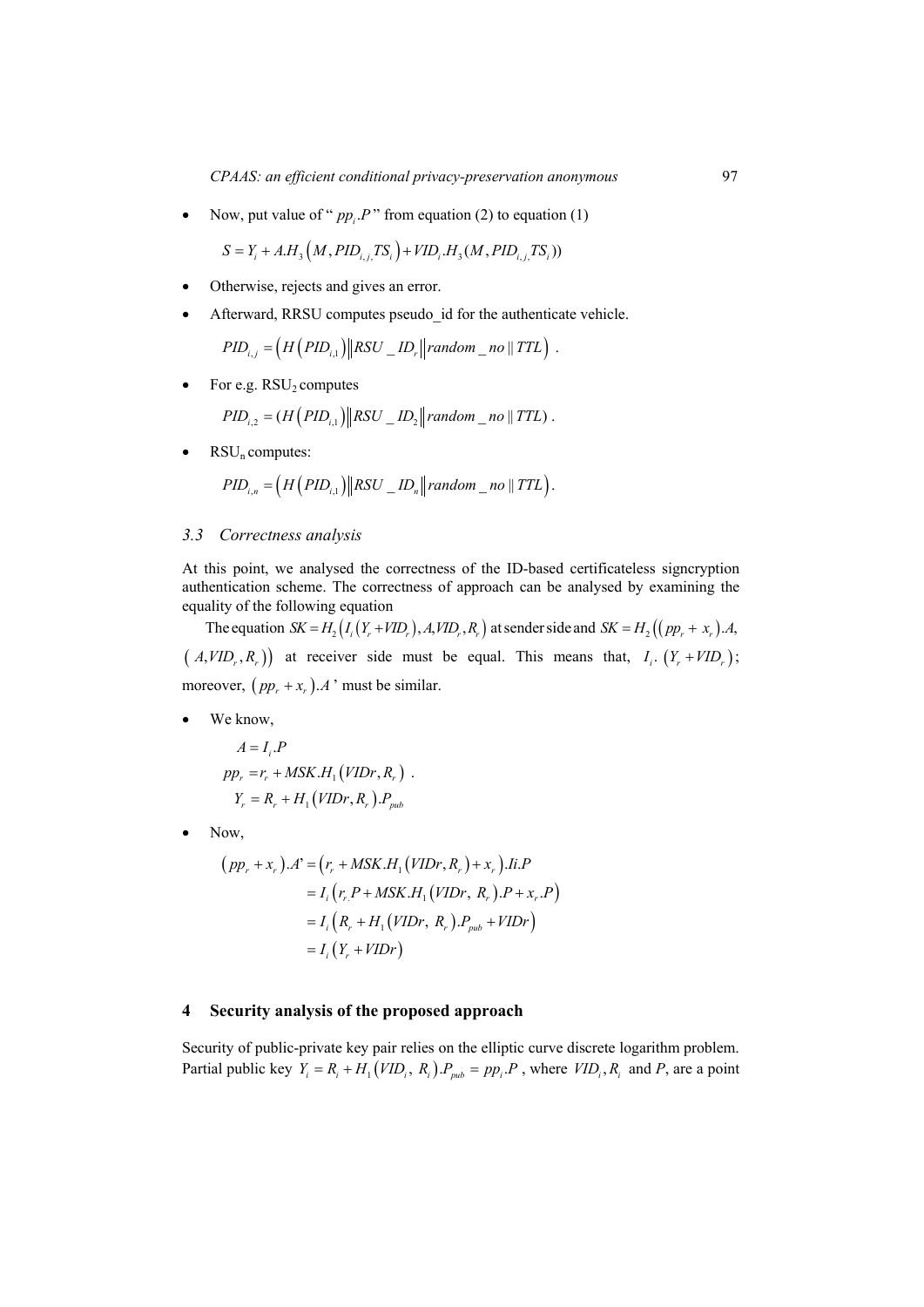Now, put value of " $pp_i P$ " from equation (2) to equation (1)

$$
S = Y_i + A.H_3(M, PID_{i,j,} TS_i) + VID_i.H_3(M, PID_{i,j,} TS_i))
$$

- Otherwise, rejects and gives an error.
- Afterward, RRSU computes pseudo id for the authenticate vehicle.

$$
PID_{i,j} = \left(H\left(PID_{i,1}\right) \parallel RSU \_ID_r \parallel random\_no \parallel TTL\right).
$$

For e.g.  $RSU_2$  computes

$$
PID_{i,2} = (H(PID_{i,1}) || RSU \_ID_2 || random \_no || TTL)
$$

 $RSU_n$  computes:

$$
PID_{i,n} = \left(H\left( PID_{i,1} \right) \middle\| RSU\_ID_{n} \middle\| random\_no \parallel TTL \right).
$$

### *3.3 Correctness analysis*

At this point, we analysed the correctness of the ID-based certificateless signcryption authentication scheme. The correctness of approach can be analysed by examining the equality of the following equation

The equation  $SK = H_2(I_i(Y_r + VID_r), A, VID_r, R_r)$  at sender side and  $SK = H_2((pp_r + x_r)A,$  $(A, VID_r, R_r)$  at receiver side must be equal. This means that,  $I_i$ .  $(Y_r + VID_r)$ ; moreover,  $(pp_r + x_r) \cdot A$  ' must be similar.

We know,

$$
A = I_i.P
$$
  
\n
$$
pp_r = r_r + MSK.H_1(VIDr, R_r) .
$$
  
\n
$$
Y_r = R_r + H_1(VIDr, R_r).P_{pub}
$$

Now,

$$
(pp_r + x_r).A' = (r_r + MSK.H_1(VIDr, R_r) + x_r).Ii.P
$$
  
=  $I_i (r_r.P + MSK.H_1(VIDr, R_r).P + x_r.P)$   
=  $I_i (R_r + H_1(VIDr, R_r).P_{pub} + VIDr)$   
=  $I_i (Y_r + VIDr)$ 

#### **4 Security analysis of the proposed approach**

Security of public-private key pair relies on the elliptic curve discrete logarithm problem. Partial public key  $Y_i = R_i + H_1(VID_i, R_i)P_{sub} = pp_i.P$ , where  $VID_i, R_i$  and *P*, are a point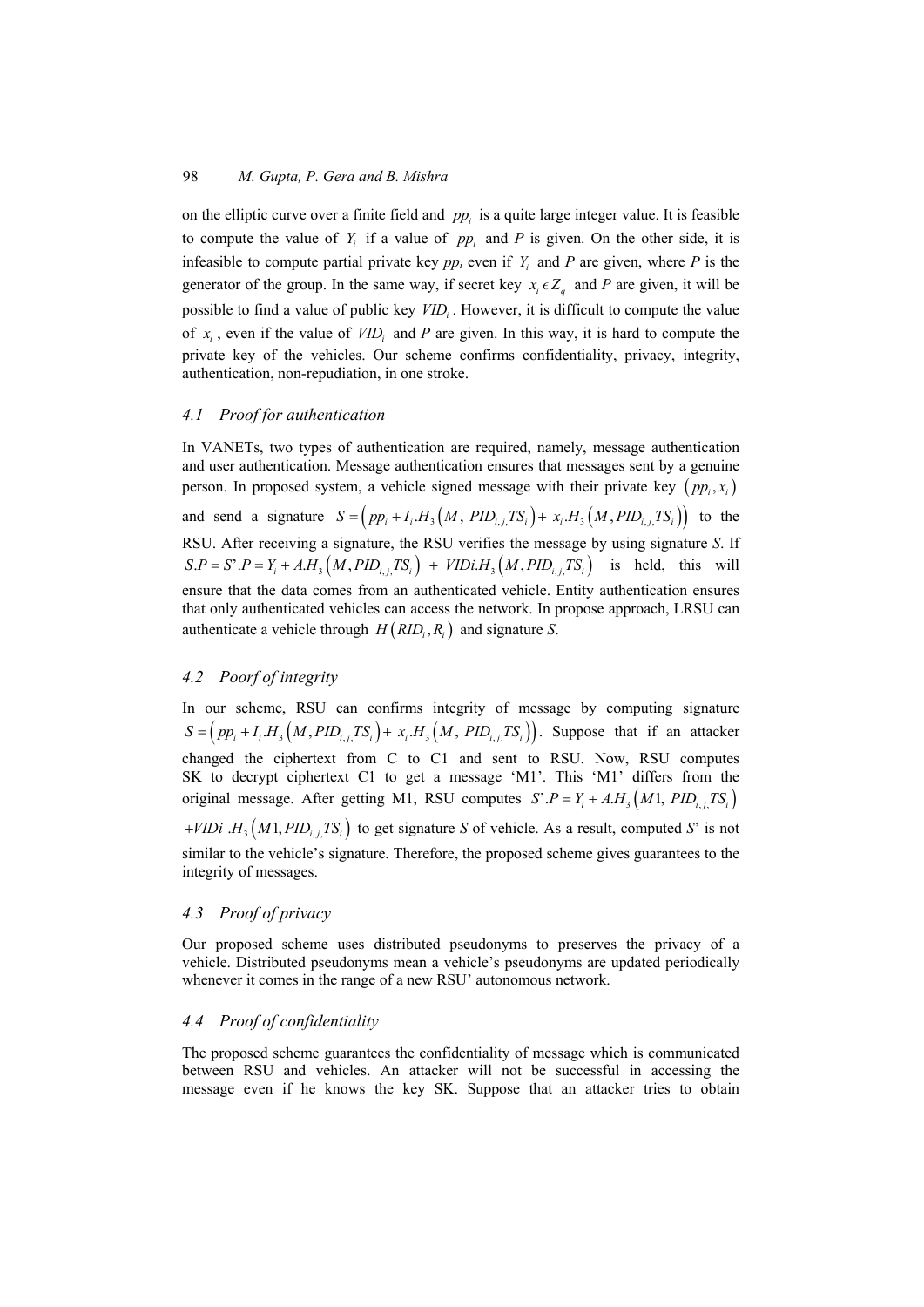on the elliptic curve over a finite field and *pp* is a quite large integer value. It is feasible to compute the value of  $Y_i$  if a value of  $pp_i$  and  $P$  is given. On the other side, it is infeasible to compute partial private key  $pp_i$  even if  $Y_i$  and  $P$  are given, where  $P$  is the generator of the group. In the same way, if secret key  $x_i \in Z_a$  and *P* are given, it will be possible to find a value of public key *VID<sub>i</sub>*. However, it is difficult to compute the value of  $x_i$ , even if the value of  $VID_i$  and  $P$  are given. In this way, it is hard to compute the private key of the vehicles. Our scheme confirms confidentiality, privacy, integrity, authentication, non-repudiation, in one stroke.

# *4.1 Proof for authentication*

In VANETs, two types of authentication are required, namely, message authentication and user authentication. Message authentication ensures that messages sent by a genuine person. In proposed system, a vehicle signed message with their private key  $(pp_i, x_i)$ and send a signature  $S = (pp_i + I_i.H_i(M, PID_{i,i}TS_i) + x_i.H_i(M, PID_{i,i}TS_i))$  to the RSU. After receiving a signature, the RSU verifies the message by using signature *S*. If  $S.P = S'.P = Y_i + A.H_3(M, PID_i, TS_i) + VIDi.H_3(M, PID_i, TS_i)$  is held, this will ensure that the data comes from an authenticated vehicle. Entity authentication ensures that only authenticated vehicles can access the network. In propose approach, LRSU can authenticate a vehicle through  $H(RID_i, R_i)$  and signature *S*.

# *4.2 Poorf of integrity*

In our scheme, RSU can confirms integrity of message by computing signature  $S = (pp_i + I_i.H_3(M, PID_i, TS_i) + x_i.H_3(M, PID_i, TS_i)).$  Suppose that if an attacker changed the ciphertext from C to C1 and sent to RSU. Now, RSU computes SK to decrypt ciphertext C1 to get a message 'M1'. This 'M1' differs from the original message. After getting M1, RSU computes  $S' . P = Y_i + A.H_3(M1, PID_{i,j}TS_i)$ *VIDi*  $H_3(M1, PID_{i}$ ,  $TS_i$  to get signature *S* of vehicle. As a result, computed *S*<sup>'</sup> is not similar to the vehicle's signature. Therefore, the proposed scheme gives guarantees to the integrity of messages.

### *4.3 Proof of privacy*

Our proposed scheme uses distributed pseudonyms to preserves the privacy of a vehicle. Distributed pseudonyms mean a vehicle's pseudonyms are updated periodically whenever it comes in the range of a new RSU' autonomous network.

### *4.4 Proof of confidentiality*

The proposed scheme guarantees the confidentiality of message which is communicated between RSU and vehicles. An attacker will not be successful in accessing the message even if he knows the key SK. Suppose that an attacker tries to obtain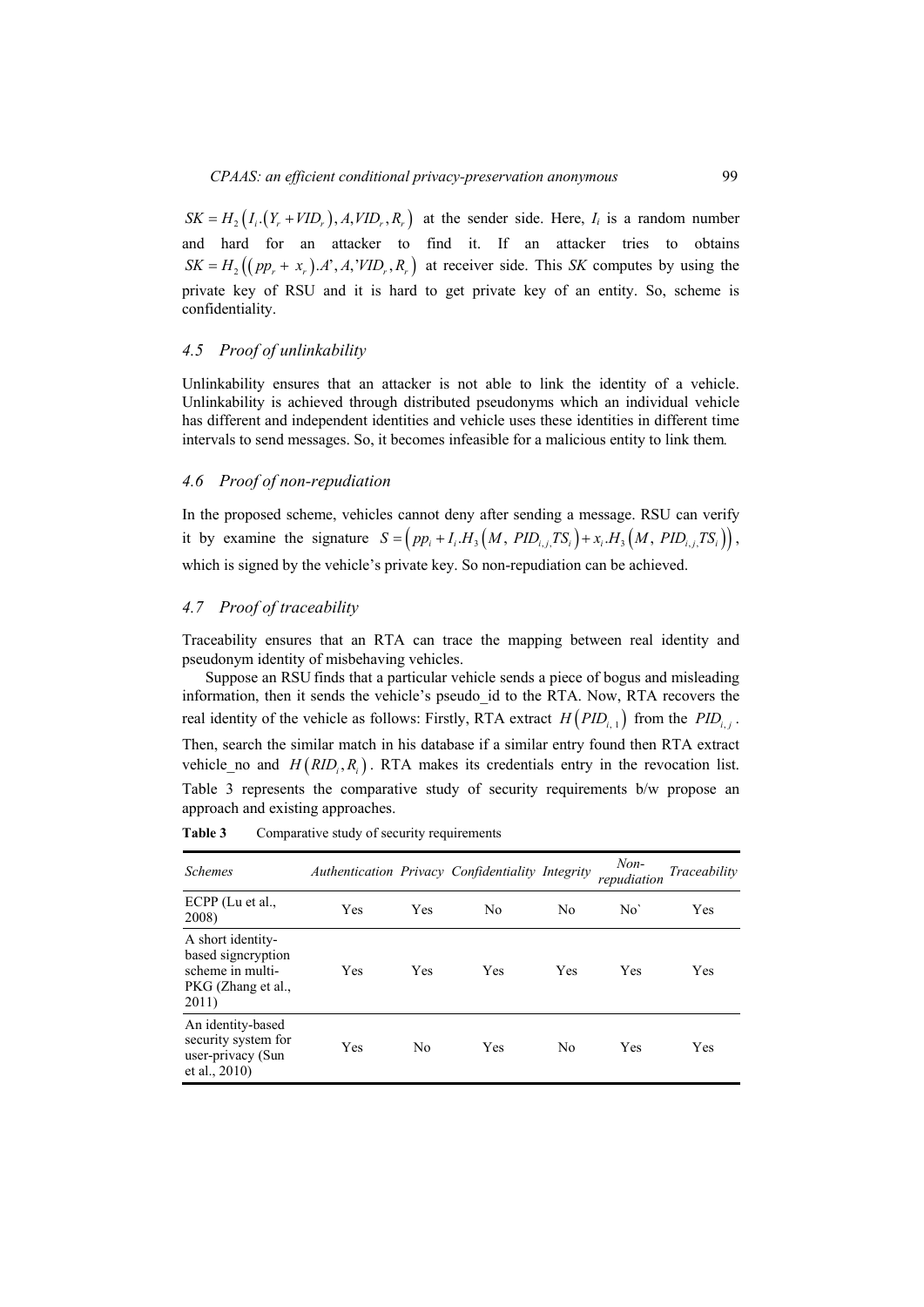#### *4.5 Proof of unlinkability*

Unlinkability ensures that an attacker is not able to link the identity of a vehicle. Unlinkability is achieved through distributed pseudonyms which an individual vehicle has different and independent identities and vehicle uses these identities in different time intervals to send messages. So, it becomes infeasible for a malicious entity to link them*.* 

# *4.6 Proof of non-repudiation*

In the proposed scheme, vehicles cannot deny after sending a message. RSU can verify it by examine the signature  $S = (pp_i + I_iH_3(M, PID_i, TS_i) + x_iH_3(M, PID_i, TS_i)),$ which is signed by the vehicle's private key. So non-repudiation can be achieved.

#### *4.7 Proof of traceability*

Traceability ensures that an RTA can trace the mapping between real identity and pseudonym identity of misbehaving vehicles.

Suppose an RSU finds that a particular vehicle sends a piece of bogus and misleading information, then it sends the vehicle's pseudo\_id to the RTA. Now, RTA recovers the real identity of the vehicle as follows: Firstly, RTA extract  $H(PID_{i,1})$  from the  $PID_{i,j}$ .

Then, search the similar match in his database if a similar entry found then RTA extract vehicle no and  $H(RID_i, R_i)$ . RTA makes its credentials entry in the revocation list. Table 3 represents the comparative study of security requirements b/w propose an approach and existing approaches.

| <b>Schemes</b>                                                                             |            |            | Authentication Privacy Confidentiality Integrity |                | $Non-$<br>repudiation | Traceability |
|--------------------------------------------------------------------------------------------|------------|------------|--------------------------------------------------|----------------|-----------------------|--------------|
| $ECPP$ (Lu et al.,<br>2008)                                                                | <b>Yes</b> | <b>Yes</b> | N <sub>0</sub>                                   | No             | No'                   | Yes          |
| A short identity-<br>based signeryption<br>scheme in multi-<br>PKG (Zhang et al.,<br>2011) | Yes        | Yes        | Yes                                              | Yes            | Yes                   | Yes          |
| An identity-based<br>security system for<br>user-privacy (Sun<br>et al., $2010$ )          | Yes        | No         | Yes                                              | N <sub>0</sub> | Yes                   | Yes          |

Table 3 Comparative study of security requirements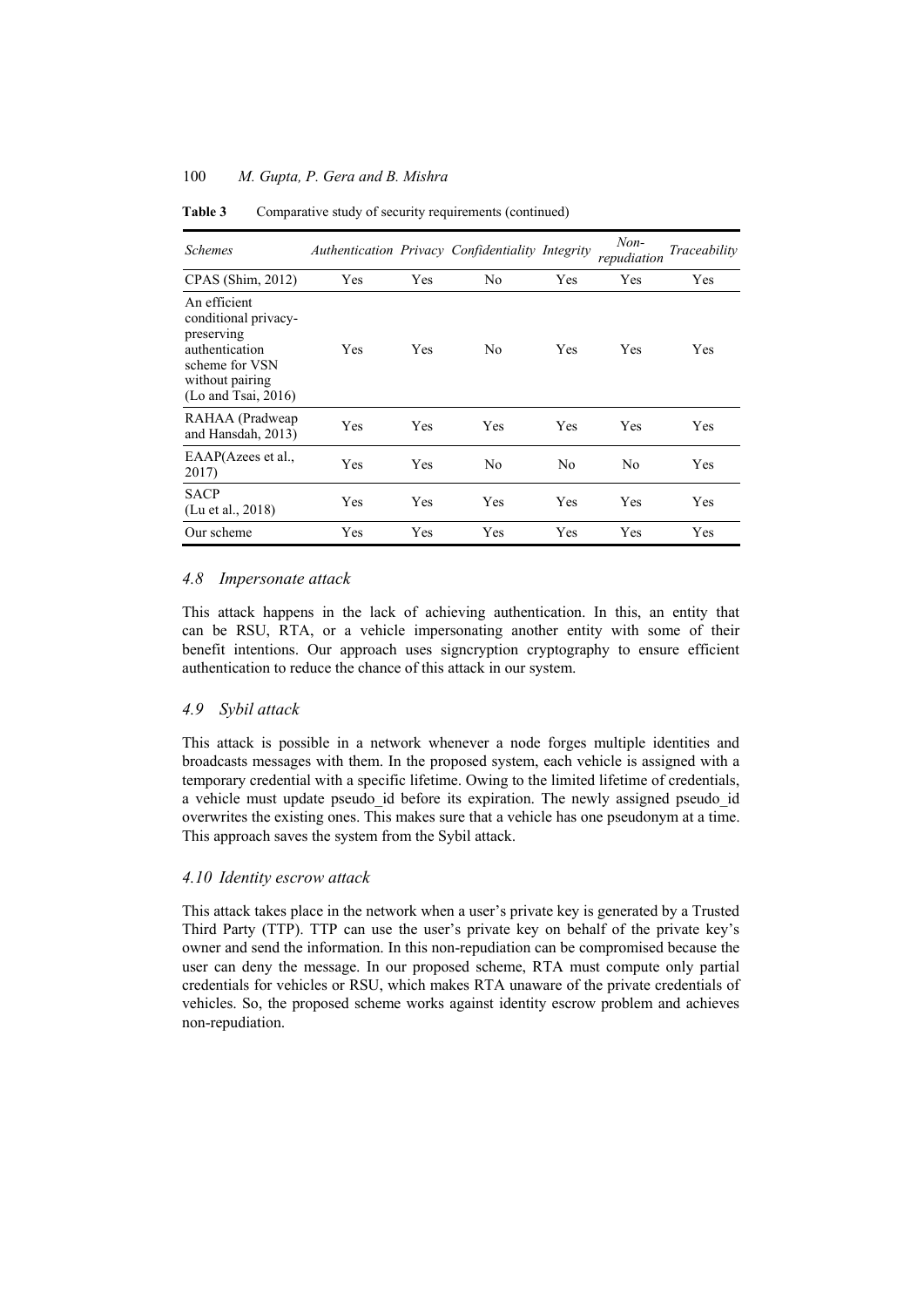| <b>Schemes</b>                                                                                                                         |     |            | Authentication Privacy Confidentiality Integrity |                | $Non-$<br>repudiation | Traceability |
|----------------------------------------------------------------------------------------------------------------------------------------|-----|------------|--------------------------------------------------|----------------|-----------------------|--------------|
| CPAS (Shim, 2012)                                                                                                                      | Yes | Yes        | N <sub>0</sub>                                   | Yes            | Yes                   | Yes          |
| An efficient<br>conditional privacy-<br>preserving<br>authentication<br>scheme for VSN<br>without pairing<br>$($ Lo and Tsai, 2016 $)$ | Yes | <b>Yes</b> | N <sub>0</sub>                                   | Yes            | Yes                   | Yes          |
| RAHAA (Pradweap<br>and Hansdah, 2013)                                                                                                  | Yes | Yes        | Yes                                              | Yes            | Yes                   | Yes          |
| EAAP(Azees et al.,<br>2017)                                                                                                            | Yes | <b>Yes</b> | N <sub>0</sub>                                   | N <sub>0</sub> | No                    | Yes          |
| <b>SACP</b><br>(Lu et al., 2018)                                                                                                       | Yes | Yes        | Yes                                              | Yes            | Yes                   | Yes          |
| Our scheme                                                                                                                             | Yes | Yes        | Yes                                              | Yes            | Yes                   | Yes          |

**Table 3** Comparative study of security requirements (continued)

# *4.8 Impersonate attack*

This attack happens in the lack of achieving authentication. In this, an entity that can be RSU, RTA, or a vehicle impersonating another entity with some of their benefit intentions. Our approach uses signcryption cryptography to ensure efficient authentication to reduce the chance of this attack in our system.

# *4.9 Sybil attack*

This attack is possible in a network whenever a node forges multiple identities and broadcasts messages with them. In the proposed system, each vehicle is assigned with a temporary credential with a specific lifetime. Owing to the limited lifetime of credentials, a vehicle must update pseudo id before its expiration. The newly assigned pseudo id overwrites the existing ones. This makes sure that a vehicle has one pseudonym at a time. This approach saves the system from the Sybil attack.

### *4.10 Identity escrow attack*

This attack takes place in the network when a user's private key is generated by a Trusted Third Party (TTP). TTP can use the user's private key on behalf of the private key's owner and send the information. In this non-repudiation can be compromised because the user can deny the message. In our proposed scheme, RTA must compute only partial credentials for vehicles or RSU, which makes RTA unaware of the private credentials of vehicles. So, the proposed scheme works against identity escrow problem and achieves non-repudiation.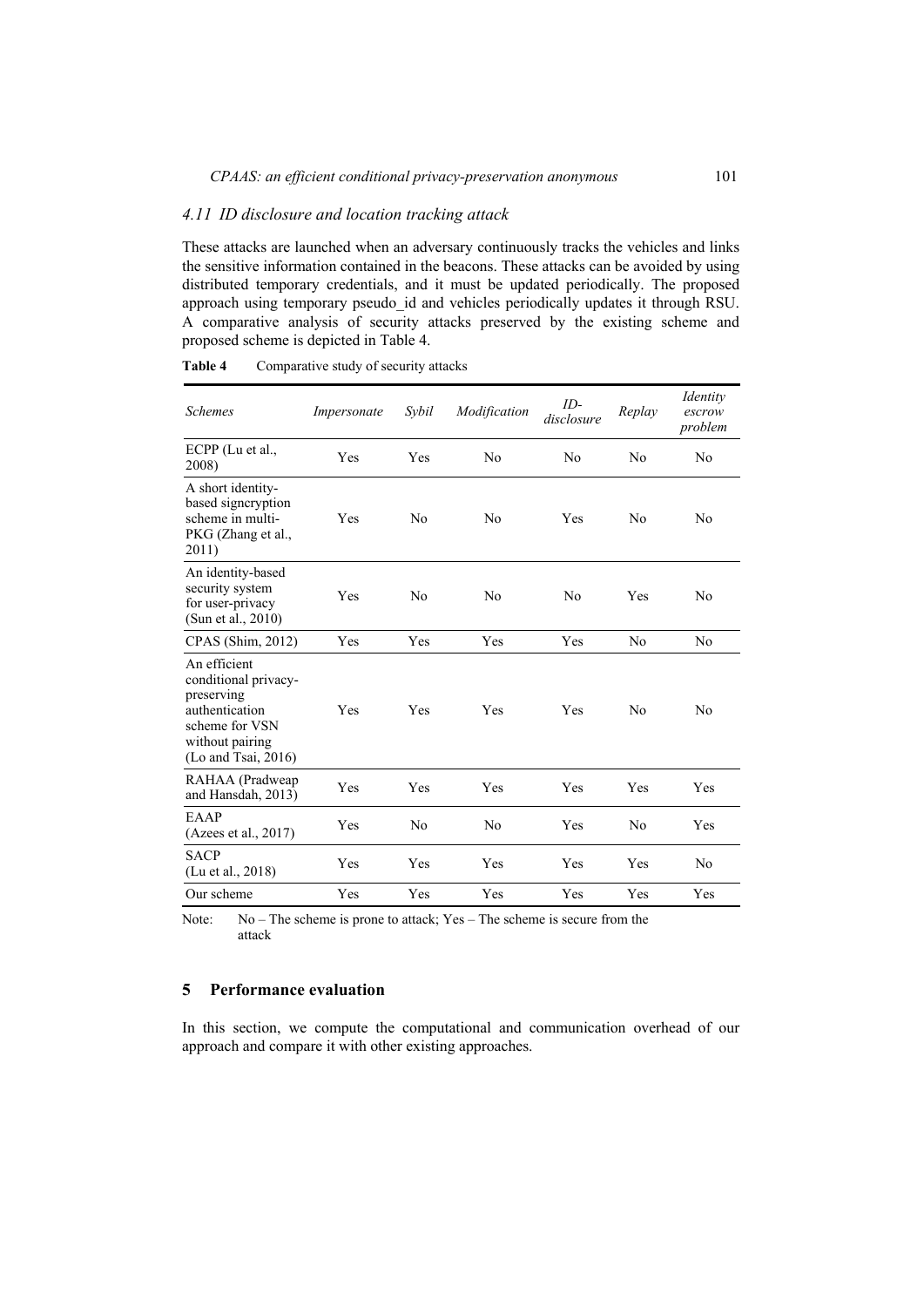#### *4.11 ID disclosure and location tracking attack*

These attacks are launched when an adversary continuously tracks the vehicles and links the sensitive information contained in the beacons. These attacks can be avoided by using distributed temporary credentials, and it must be updated periodically. The proposed approach using temporary pseudo\_id and vehicles periodically updates it through RSU. A comparative analysis of security attacks preserved by the existing scheme and proposed scheme is depicted in Table 4.

| <b>Schemes</b>                                                                                                                         | Impersonate | Sybil          | Modification   | $ID-$<br>disclosure | Replay         | Identity<br>escrow<br>problem |
|----------------------------------------------------------------------------------------------------------------------------------------|-------------|----------------|----------------|---------------------|----------------|-------------------------------|
| $ECPP$ (Lu et al.,<br>2008)                                                                                                            | Yes         | Yes            | N <sub>0</sub> | N <sub>0</sub>      | N <sub>0</sub> | No                            |
| A short identity-<br>based signcryption<br>scheme in multi-<br>PKG (Zhang et al.,<br>2011)                                             | Yes         | N <sub>0</sub> | N <sub>0</sub> | Yes                 | N <sub>0</sub> | No                            |
| An identity-based<br>security system<br>for user-privacy<br>(Sun et al., 2010)                                                         | Yes         | N <sub>0</sub> | N <sub>0</sub> | N <sub>0</sub>      | Yes            | No                            |
| CPAS (Shim, 2012)                                                                                                                      | Yes         | Yes            | Yes            | Yes                 | N <sub>0</sub> | N <sub>0</sub>                |
| An efficient<br>conditional privacy-<br>preserving<br>authentication<br>scheme for VSN<br>without pairing<br>$($ Lo and Tsai, 2016 $)$ | Yes         | Yes            | Yes            | Yes                 | N <sub>0</sub> | No                            |
| RAHAA (Pradweap<br>and Hansdah, 2013)                                                                                                  | Yes         | Yes            | Yes            | Yes                 | Yes            | Yes                           |
| EAAP<br>(Azees et al., 2017)                                                                                                           | Yes         | N <sub>0</sub> | N <sub>0</sub> | Yes                 | No             | Yes                           |
| <b>SACP</b><br>(Lu et al., 2018)                                                                                                       | Yes         | Yes            | Yes            | Yes                 | Yes            | No                            |
| Our scheme                                                                                                                             | Yes         | Yes            | Yes            | Yes                 | Yes            | Yes                           |

**Table 4** Comparative study of security attacks

Note: No – The scheme is prone to attack; Yes – The scheme is secure from the attack

### **5 Performance evaluation**

In this section, we compute the computational and communication overhead of our approach and compare it with other existing approaches.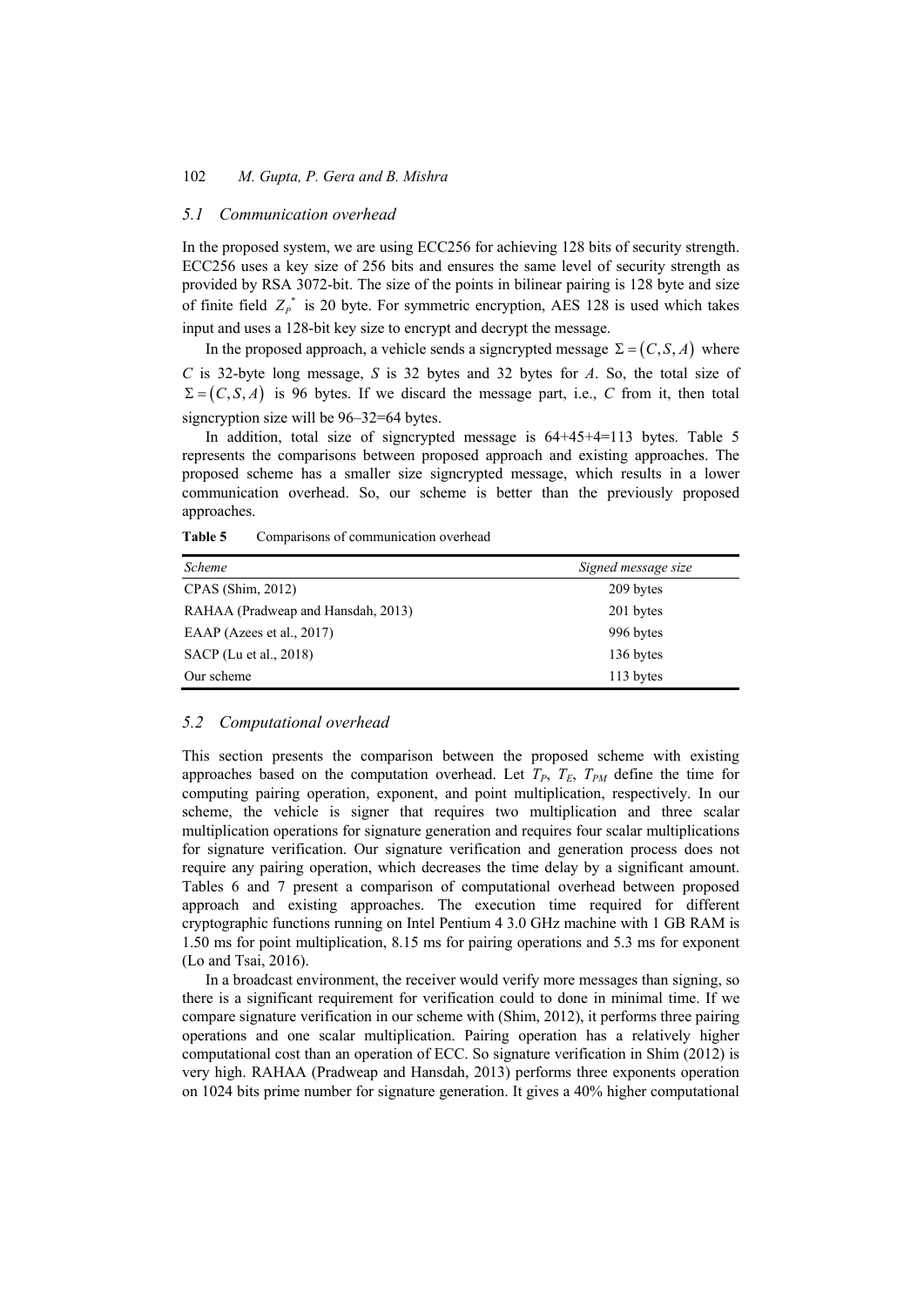# *5.1 Communication overhead*

In the proposed system, we are using ECC256 for achieving 128 bits of security strength. ECC256 uses a key size of 256 bits and ensures the same level of security strength as provided by RSA 3072-bit. The size of the points in bilinear pairing is 128 byte and size of finite field  $Z_p^*$  is 20 byte. For symmetric encryption, AES 128 is used which takes input and uses a 128-bit key size to encrypt and decrypt the message.

In the proposed approach, a vehicle sends a signcrypted message  $\Sigma = (C, S, A)$  where *C* is 32-byte long message, *S* is 32 bytes and 32 bytes for *A*. So, the total size of  $\Sigma = (C, S, A)$  is 96 bytes. If we discard the message part, i.e., *C* from it, then total signcryption size will be 96–32=64 bytes.

In addition, total size of signcrypted message is 64+45+4=113 bytes. Table 5 represents the comparisons between proposed approach and existing approaches. The proposed scheme has a smaller size signcrypted message, which results in a lower communication overhead. So, our scheme is better than the previously proposed approaches.

| <i>Scheme</i>                      | Signed message size |
|------------------------------------|---------------------|
| $CPAS$ (Shim, 2012)                | 209 bytes           |
| RAHAA (Pradweap and Hansdah, 2013) | 201 bytes           |
| EAAP (Azees et al., $2017$ )       | 996 bytes           |
| SACP (Lu et al., 2018)             | 136 bytes           |
| Our scheme                         | 113 bytes           |

| Comparisons of communication overhead<br>Table 5 |  |
|--------------------------------------------------|--|
|--------------------------------------------------|--|

# *5.2 Computational overhead*

This section presents the comparison between the proposed scheme with existing approaches based on the computation overhead. Let  $T_P$ ,  $T_E$ ,  $T_{PM}$  define the time for computing pairing operation, exponent, and point multiplication, respectively. In our scheme, the vehicle is signer that requires two multiplication and three scalar multiplication operations for signature generation and requires four scalar multiplications for signature verification. Our signature verification and generation process does not require any pairing operation, which decreases the time delay by a significant amount. Tables 6 and 7 present a comparison of computational overhead between proposed approach and existing approaches. The execution time required for different cryptographic functions running on Intel Pentium 4 3.0 GHz machine with 1 GB RAM is 1.50 ms for point multiplication, 8.15 ms for pairing operations and 5.3 ms for exponent (Lo and Tsai, 2016).

In a broadcast environment, the receiver would verify more messages than signing, so there is a significant requirement for verification could to done in minimal time. If we compare signature verification in our scheme with (Shim, 2012), it performs three pairing operations and one scalar multiplication. Pairing operation has a relatively higher computational cost than an operation of ECC. So signature verification in Shim (2012) is very high. RAHAA (Pradweap and Hansdah, 2013) performs three exponents operation on 1024 bits prime number for signature generation. It gives a 40% higher computational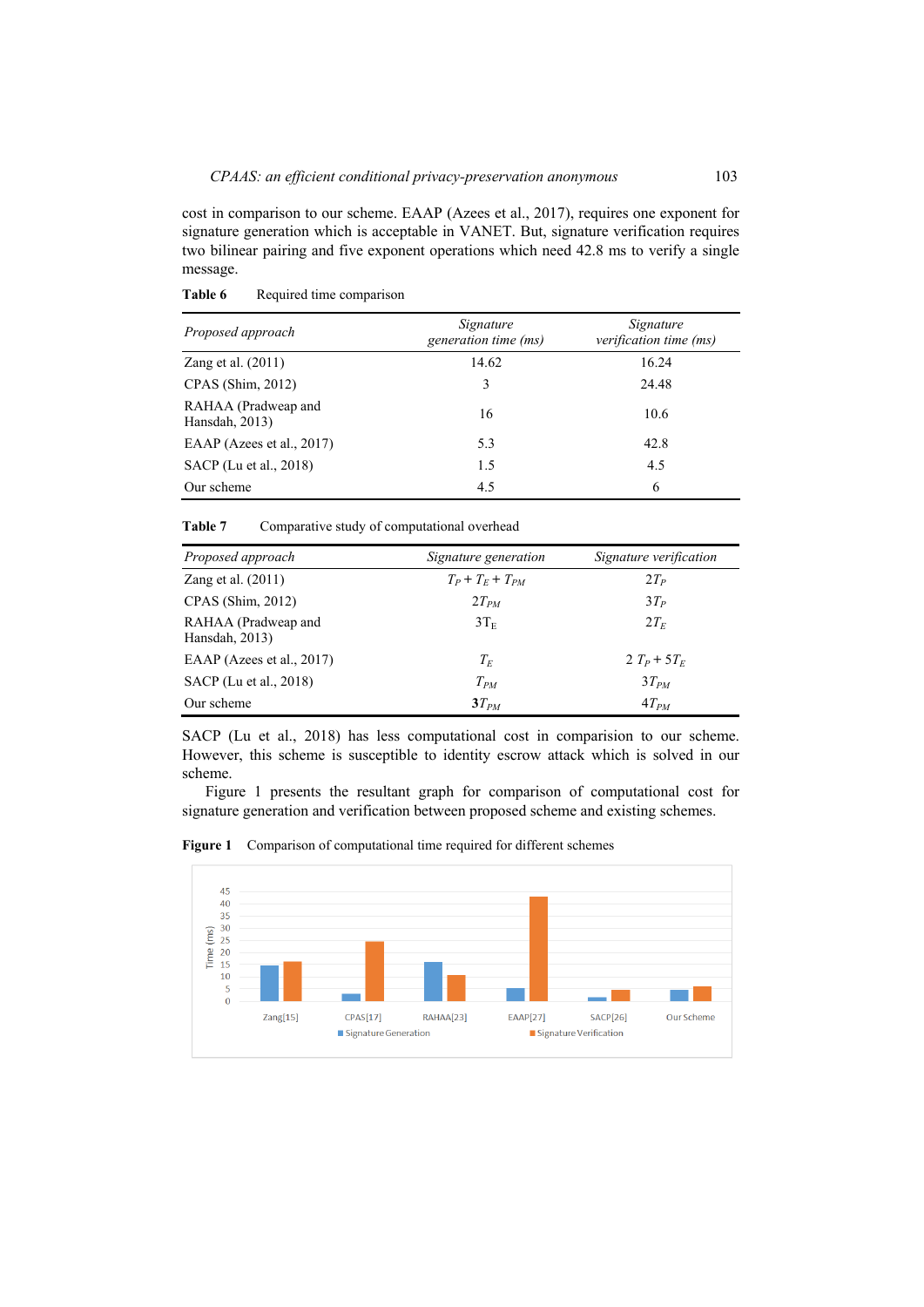cost in comparison to our scheme. EAAP (Azees et al., 2017), requires one exponent for signature generation which is acceptable in VANET. But, signature verification requires two bilinear pairing and five exponent operations which need 42.8 ms to verify a single message.

| Proposed approach                     | Signature<br>generation time (ms) | Signature<br>verification time (ms) |
|---------------------------------------|-----------------------------------|-------------------------------------|
| Zang et al. (2011)                    | 14.62                             | 16.24                               |
| $CPAS$ (Shim, 2012)                   | 3                                 | 24.48                               |
| RAHAA (Pradweap and<br>Hansdah, 2013) | 16                                | 10.6                                |
| EAAP (Azees et al., 2017)             | 5.3                               | 42.8                                |
| SACP (Lu et al., 2018)                | 1.5                               | 4.5                                 |
| Our scheme                            | 4.5                               | 6                                   |

Table 6 Required time comparison

Table 7 Comparative study of computational overhead

| Proposed approach                     | Signature generation | Signature verification |
|---------------------------------------|----------------------|------------------------|
| Zang et al. $(2011)$                  | $T_P+T_F+T_{PM}$     | $2T_P$                 |
| $CPAS$ (Shim, 2012)                   | $2T_{PM}$            | $3T_P$                 |
| RAHAA (Pradweap and<br>Hansdah, 2013) | $3T_{\rm E}$         | $2T_F$                 |
| EAAP (Azees et al., 2017)             | $T_F$                | $2 T_P + 5 T_F$        |
| SACP (Lu et al., 2018)                | $T_{PM}$             | $3T_{PM}$              |
| Our scheme                            | $3T_{PM}$            | $4T_{PM}$              |

SACP (Lu et al., 2018) has less computational cost in comparision to our scheme. However, this scheme is susceptible to identity escrow attack which is solved in our scheme.

Figure 1 presents the resultant graph for comparison of computational cost for signature generation and verification between proposed scheme and existing schemes.



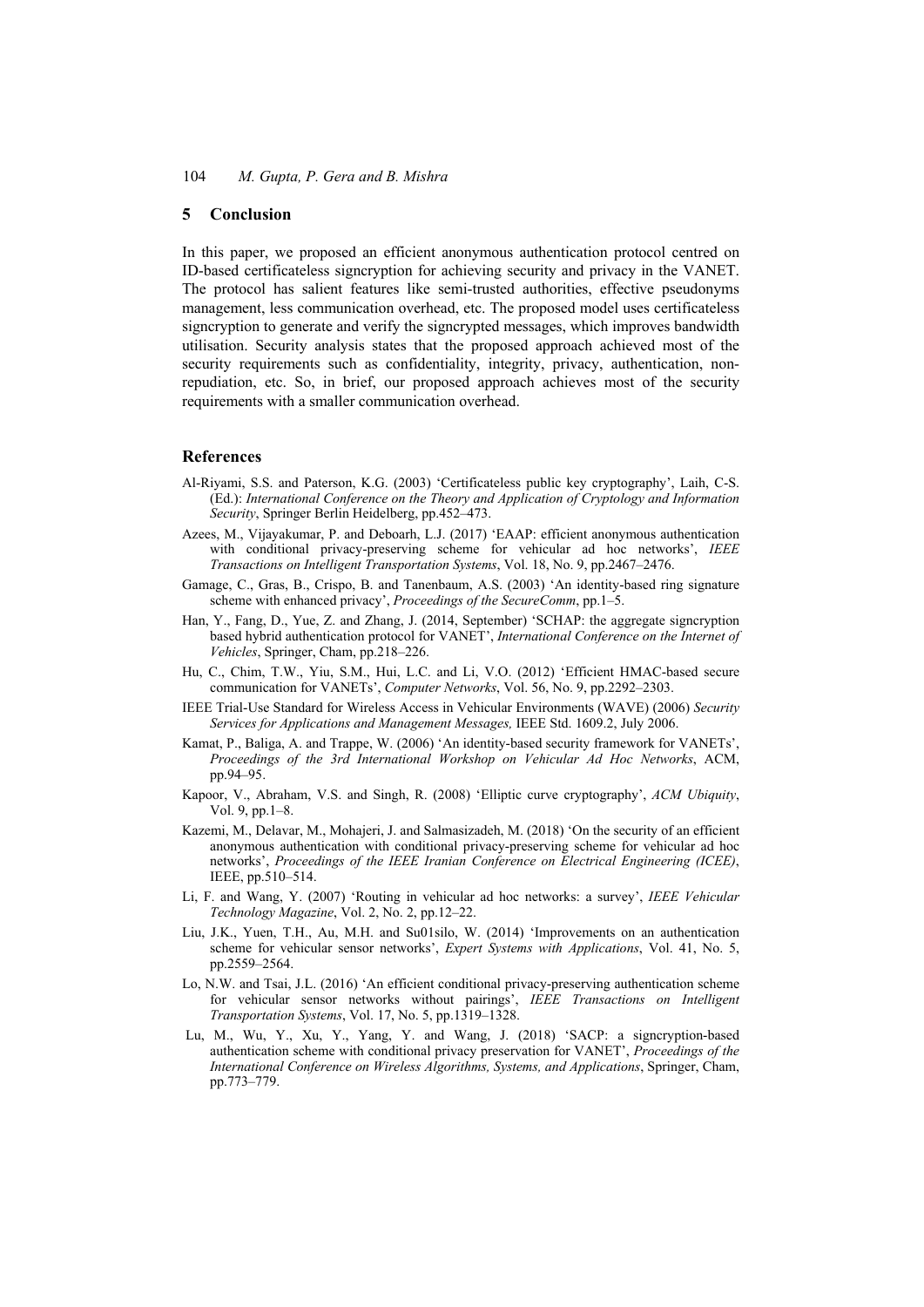### **5 Conclusion**

In this paper, we proposed an efficient anonymous authentication protocol centred on ID-based certificateless signcryption for achieving security and privacy in the VANET. The protocol has salient features like semi-trusted authorities, effective pseudonyms management, less communication overhead, etc. The proposed model uses certificateless signcryption to generate and verify the signcrypted messages, which improves bandwidth utilisation. Security analysis states that the proposed approach achieved most of the security requirements such as confidentiality, integrity, privacy, authentication, nonrepudiation, etc. So, in brief, our proposed approach achieves most of the security requirements with a smaller communication overhead.

### **References**

- Al-Riyami, S.S. and Paterson, K.G. (2003) 'Certificateless public key cryptography', Laih, C-S. (Ed.): *International Conference on the Theory and Application of Cryptology and Information Security*, Springer Berlin Heidelberg, pp.452–473.
- Azees, M., Vijayakumar, P. and Deboarh, L.J. (2017) 'EAAP: efficient anonymous authentication with conditional privacy-preserving scheme for vehicular ad hoc networks', *IEEE Transactions on Intelligent Transportation Systems*, Vol. 18, No. 9, pp.2467–2476.
- Gamage, C., Gras, B., Crispo, B. and Tanenbaum, A.S. (2003) 'An identity-based ring signature scheme with enhanced privacy', *Proceedings of the SecureComm*, pp.1–5.
- Han, Y., Fang, D., Yue, Z. and Zhang, J. (2014, September) 'SCHAP: the aggregate signcryption based hybrid authentication protocol for VANET', *International Conference on the Internet of Vehicles*, Springer, Cham, pp.218–226.
- Hu, C., Chim, T.W., Yiu, S.M., Hui, L.C. and Li, V.O. (2012) 'Efficient HMAC-based secure communication for VANETs', *Computer Networks*, Vol. 56, No. 9, pp.2292–2303.
- IEEE Trial-Use Standard for Wireless Access in Vehicular Environments (WAVE) (2006) *Security Services for Applications and Management Messages,* IEEE Std. 1609.2, July 2006.
- Kamat, P., Baliga, A. and Trappe, W. (2006) 'An identity-based security framework for VANETs', *Proceedings of the 3rd International Workshop on Vehicular Ad Hoc Networks*, ACM, pp.94–95.
- Kapoor, V., Abraham, V.S. and Singh, R. (2008) 'Elliptic curve cryptography', *ACM Ubiquity*, Vol. 9, pp.1–8.
- Kazemi, M., Delavar, M., Mohajeri, J. and Salmasizadeh, M. (2018) 'On the security of an efficient anonymous authentication with conditional privacy-preserving scheme for vehicular ad hoc networks', *Proceedings of the IEEE Iranian Conference on Electrical Engineering (ICEE)*, IEEE, pp.510–514.
- Li, F. and Wang, Y. (2007) 'Routing in vehicular ad hoc networks: a survey', *IEEE Vehicular Technology Magazine*, Vol. 2, No. 2, pp.12–22.
- Liu, J.K., Yuen, T.H., Au, M.H. and Su01silo, W. (2014) 'Improvements on an authentication scheme for vehicular sensor networks', *Expert Systems with Applications*, Vol. 41, No. 5, pp.2559–2564.
- Lo, N.W. and Tsai, J.L. (2016) 'An efficient conditional privacy-preserving authentication scheme for vehicular sensor networks without pairings', *IEEE Transactions on Intelligent Transportation Systems*, Vol. 17, No. 5, pp.1319–1328.
- Lu, M., Wu, Y., Xu, Y., Yang, Y. and Wang, J. (2018) 'SACP: a signcryption-based authentication scheme with conditional privacy preservation for VANET', *Proceedings of the International Conference on Wireless Algorithms, Systems, and Applications*, Springer, Cham, pp.773–779.